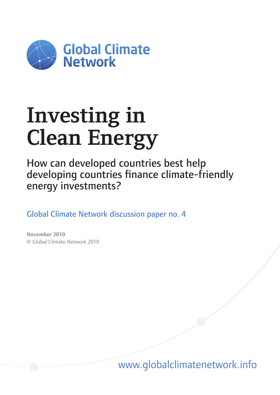

# **Investing in Clean Energy**

How can developed countries best help developing countries finance climate-friendly energy investments?

Global Climate Network discussion paper no. 4

**November 2010** © Global Climate Network 2010

www.globalclimatenetwork.info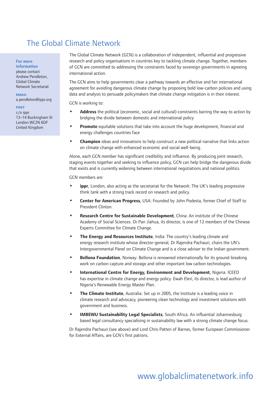## The Global Climate Network

#### **For more**

**information** please contact Andrew Pendleton, Global Climate Network Secretariat

**email** a.pendleton@ippr.org

#### **post**

 $c/\alpha$  innr 13–14 Buckingham St London WC2N 6DF United Kingdom

The Global Climate Network (GCN) is a collaboration of independent, influential and progressive research and policy organisations in countries key to tackling climate change. Together, members of GCN are committed to addressing the constraints faced by sovereign governments in agreeing international action.

The GCN aims to help governments clear a pathway towards an effective and fair international agreement for avoiding dangerous climate change by proposing bold low-carbon policies and using data and analysis to persuade policymakers that climate change mitigation is in their interest.

GCN is working to:

- **Address** the political (economic, social and cultural) constraints barring the way to action by bridging the divide between domestic and international policy **•**
- **Promote** equitable solutions that take into account the huge development, financial and energy challenges countries face **•**
- **Champion** ideas and innovations to help construct a new political narrative that links action on climate change with enhanced economic and social well-being. **•**

Alone, each GCN member has significant credibility and influence. By producing joint research, staging events together and seeking to influence policy, GCN can help bridge the dangerous divide that exists and is currently widening between international negotiations and national politics.

GCN members are:

- **ippr**, London, also acting as the secretariat for the Network: The UK's leading progressive think tank with a strong track record on research and policy. **•**
- **Center for American Progress**, USA: Founded by John Podesta, former Chief of Staff to President Clinton. **•**
- **Research Centre for Sustainable Development**, China: An institute of the Chinese Academy of Social Sciences. Dr Pan Jiahua, its director, is one of 12 members of the Chinese Experts Committee for Climate Change. **•**
- **The Energy and Resources Institute**, India: The country's leading climate and energy research institute whose director-general, Dr Rajendra Pachauri, chairs the UN's Intergovernmental Panel on Climate Change and is a close adviser to the Indian government. **•**
- **Bellona Foundation**, Norway: Bellona is renowned internationally for its ground-breaking work on carbon capture and storage and other important low carbon technologies. **•**
- **International Centre for Energy, Environment and Development**, Nigeria. ICEED has expertise in climate change and energy policy. Ewah Eleri, its director, is lead author of Nigeria's Renewable Energy Master Plan. **•**
- **The Climate Institute**, Australia. Set up in 2005, the Institute is a leading voice in climate research and advocacy, pioneering clean technology and investment solutions with government and business. **•**
- **IMBEWU Sustainability Legal Specialists**, South Africa. An influential Johannesburg based legal consultancy specialising in sustainability law with a strong climate change focus. **•**

Dr Rajendra Pachauri (see above) and Lord Chris Patten of Barnes, former European Commissioner for External Affairs, are GCN's first patrons.

# www.globalclimatenetwork.info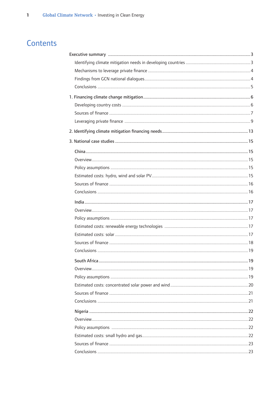# Contents

| South Africa. | 19 |
|---------------|----|
|               |    |
|               |    |
|               |    |
|               |    |
|               |    |
|               |    |
|               |    |
|               |    |
|               |    |
|               |    |
|               |    |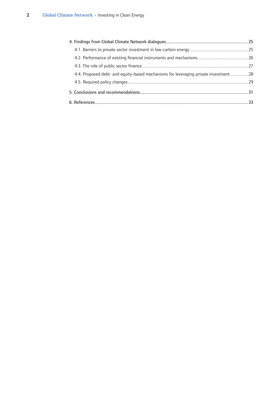| 4.4. Proposed debt- and equity-based mechanisms for leveraging private investment  28 |  |
|---------------------------------------------------------------------------------------|--|
|                                                                                       |  |
|                                                                                       |  |
|                                                                                       |  |
|                                                                                       |  |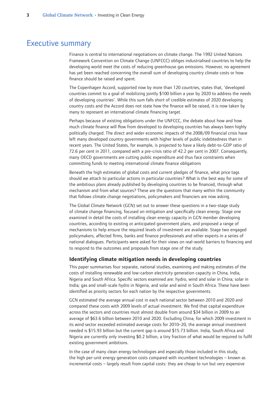## <span id="page-4-0"></span>Executive summary

Finance is central to international negotiations on climate change. The 1992 United Nations Framework Convention on Climate Change (UNFCCC) obliges industrialised countries to help the developing world meet the costs of reducing greenhouse gas emissions. However, no agreement has yet been reached concerning the overall sum of developing country climate costs or how finance should be raised and spent.

The Copenhagen Accord, supported now by more than 120 countries, states that, 'developed countries commit to a goal of mobilizing jointly \$100 billion a year by 2020 to address the needs of developing countries'. While this sum falls short of credible estimates of 2020 developing country costs and the Accord does not state how the finance will be raised, it is now taken by many to represent an international climate financing target.

Perhaps because of existing obligations under the UNFCCC, the debate about how and how much climate finance will flow from developed to developing countries has always been highly politically charged. The direct and wider economic impacts of the 2008/09 financial crisis have left many developed country governments with higher levels of public indebtedness than in recent years. The United States, for example, is projected to have a likely debt-to-GDP ratio of 72.6 per cent in 2011, compared with a pre-crisis ratio of 42.2 per cent in 2007. Consequently, many OECD governments are cutting public expenditure and thus face constraints when committing funds to meeting international climate finance obligations

Beneath the high estimates of global costs and current pledges of finance, what price tags should we attach to particular actions in particular countries? What is the best way for some of the ambitious plans already published by developing countries to be financed, through what mechanism and from what sources? These are the questions that many within the community that follows climate change negotiations, policymakers and financiers are now asking.

The Global Climate Network (GCN) set out to answer these questions in a two-stage study of climate change financing, focused on mitigation and specifically clean energy. Stage one examined in detail the costs of installing clean energy capacity in GCN member developing countries, according to existing or anticipated government plans, and proposed a range of mechanisms to help ensure the required levels of investment are available. Stage two engaged policymakers, affected firms, banks and finance professionals and other experts in a series of national dialogues. Participants were asked for their views on real-world barriers to financing and to respond to the outcomes and proposals from stage one of the study.

#### **Identifying climate mitigation needs in developing countries**

This paper summarises four separate, national studies, examining and making estimates of the costs of installing renewable and low-carbon electricity generation capacity in China, India, Nigeria and South Africa. Specific sectors examined are: hydro, wind and solar in China; solar in India; gas and small-scale hydro in Nigeria, and solar and wind in South Africa. These have been identified as priority sectors for each nation by the respective governments.

GCN estimated the average annual cost in each national sector between 2010 and 2020 and compared these costs with 2009 levels of actual investment. We find that capital expenditure across the sectors and countries must almost double from around \$34 billion in 2009 to an average of \$63.6 billion between 2010 and 2020. Excluding China, for which 2009 investment in its wind sector exceeded estimated average costs for 2010–20, the average annual investment needed is \$15.93 billion but the current gap is around \$15.73 billion. India, South Africa and Nigeria are currently only investing \$0.2 billion, a tiny fraction of what would be required to fulfil existing government ambitions.

In the case of many clean energy technologies and especially those included in this study, the high per-unit energy generation costs compared with incumbent technologies – known as incremental costs – largely result from capital costs: they are cheap to run but very expensive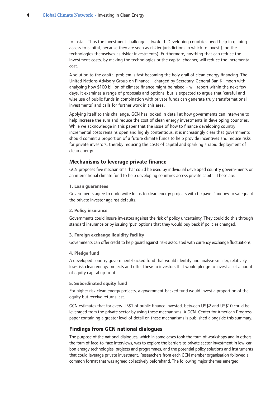<span id="page-5-0"></span>to install. Thus the investment challenge is twofold. Developing countries need help in gaining access to capital, because they are seen as riskier jurisdictions in which to invest (and the technologies themselves as riskier investments). Furthermore, anything that can reduce the investment costs, by making the technologies or the capital cheaper, will reduce the incremental cost.

A solution to the capital problem is fast becoming the holy grail of clean energy financing. The United Nations Advisory Group on Finance – charged by Secretary-General Ban Ki-moon with analysing how \$100 billion of climate finance might be raised – will report within the next few days. It examines a range of proposals and options, but is expected to argue that 'careful and wise use of public funds in combination with private funds can generate truly transformational investments' and calls for further work in this area.

Applying itself to this challenge, GCN has looked in detail at how governments can intervene to help increase the sum and reduce the cost of clean energy investments in developing countries. While we acknowledge in this paper that the issue of how to finance developing country incremental costs remains open and highly contentious, it is increasingly clear that governments should commit a proportion of a future climate funds to help provide incentives and reduce risks for private investors, thereby reducing the costs of capital and sparking a rapid deployment of clean energy.

#### **Mechanisms to leverage private finance**

GCN proposes five mechanisms that could be used by individual developed country govern-ments or an international climate fund to help developing countries access private capital. These are:

#### **1. Loan guarantees**

Governments agree to underwrite loans to clean energy projects with taxpayers' money to safeguard the private investor against defaults.

#### **2. Policy insurance**

Governments could insure investors against the risk of policy uncertainty. They could do this through standard insurance or by issuing 'put' options that they would buy back if policies changed.

#### **3. Foreign exchange liquidity facility**

Governments can offer credit to help guard against risks associated with currency exchange fluctuations.

#### **4. Pledge fund**

A developed country government-backed fund that would identify and analyse smaller, relatively low-risk clean energy projects and offer these to investors that would pledge to invest a set amount of equity capital up front.

#### **5. Subordinated equity fund**

For higher risk clean energy projects, a government-backed fund would invest a proportion of the equity but receive returns last.

GCN estimates that for every US\$1 of public finance invested, between US\$2 and US\$10 could be leveraged from the private sector by using these mechanisms. A GCN–Center for American Progress paper containing a greater level of detail on these mechanisms is published alongside this summary.

#### **Findings from GCN national dialogues**

The purpose of the national dialogues, which in some cases took the form of workshops and in others the form of face-to-face interviews, was to explore the barriers to private sector investment in low-carbon energy technologies, projects and programmes, and the potential policy solutions and instruments that could leverage private investment. Researchers from each GCN member organisation followed a common format that was agreed collectively beforehand. The following major themes emerged.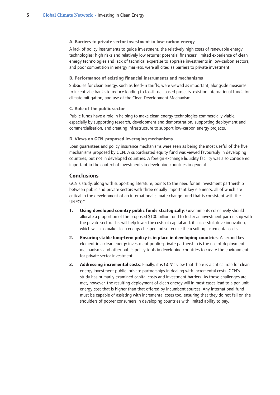#### <span id="page-6-0"></span>**A. Barriers to private sector investment in low-carbon energy**

A lack of policy instruments to guide investment; the relatively high costs of renewable energy technologies; high risks and relatively low returns; potential financers' limited experience of clean energy technologies and lack of technical expertise to appraise investments in low-carbon sectors; and poor competition in energy markets, were all cited as barriers to private investment.

#### **B. Performance of existing financial instruments and mechanisms**

Subsidies for clean energy, such as feed-in tariffs, were viewed as important, alongside measures to incentivise banks to reduce lending to fossil fuel-based projects, existing international funds for climate mitigation, and use of the Clean Development Mechanism.

#### **C. Role of the public sector**

Public funds have a role in helping to make clean energy technologies commercially viable, especially by supporting research, development and demonstration, supporting deployment and commercialisation, and creating infrastructure to support low-carbon energy projects.

#### **D. Views on GCN-proposed leveraging mechanisms**

Loan guarantees and policy insurance mechanisms were seen as being the most useful of the five mechanisms proposed by GCN. A subordinated equity fund was viewed favourably in developing countries, but not in developed countries. A foreign exchange liquidity facility was also considered important in the context of investments in developing countries in general.

#### **Conclusions**

GCN's study, along with supporting literature, points to the need for an investment partnership between public and private sectors with three equally important key elements, all of which are critical in the development of an international climate change fund that is consistent with the UNFCCC.

- **Using developed country public funds strategically**: Governments collectively should allocate a proportion of the proposed \$100 billion fund to foster an investment partnership with the private sector. This will help lower the costs of capital and, if successful, drive innovation, which will also make clean energy cheaper and so reduce the resulting incremental costs. **.**
- **Ensuring stable long-term policy is in place in developing countries**: A second key element in a clean energy investment public–private partnership is the use of deployment mechanisms and other public policy tools in developing countries to create the environment for private sector investment. **.**
- **Addressing incremental costs**: Finally, it is GCN's view that there is a critical role for clean energy investment public–private partnerships in dealing with incremental costs. GCN's study has primarily examined capital costs and investment barriers. As those challenges are met, however, the resulting deployment of clean energy will in most cases lead to a per-unit energy cost that is higher than that offered by incumbent sources. Any international fund must be capable of assisting with incremental costs too, ensuring that they do not fall on the shoulders of poorer consumers in developing countries with limited ability to pay. **.**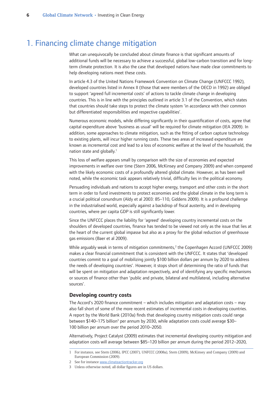## <span id="page-7-0"></span>1. Financing climate change mitigation

What can unequivocally be concluded about climate finance is that significant amounts of additional funds will be necessary to achieve a successful, global low-carbon transition and for longterm climate protection. It is also the case that developed nations have made clear commitments to help developing nations meet these costs.

In article 4.3 of the United Nations Framework Convention on Climate Change (UNFCCC 1992), developed countries listed in Annex II (those that were members of the OECD in 1992) are obliged to support 'agreed full incremental costs' of actions to tackle climate change in developing countries. This is in line with the principles outlined in article 3.1 of the Convention, which states that countries should take steps to protect the climate system 'in accordance with their common but differentiated responsibilities and respective capabilities'.

Numerous economic models, while differing significantly in their quantification of costs, agree that capital expenditure above 'business as usual' will be required for climate mitigation (IEA 2009). In addition, some approaches to climate mitigation, such as the fitting of carbon capture technology to existing plants, will incur higher running costs. These two areas of increased expenditure are known as incremental cost and lead to a loss of economic welfare at the level of the household, the nation state and globally.<sup>1</sup>

This loss of welfare appears small by comparison with the size of economies and expected improvements in welfare over time (Stern 2006, McKinsey and Company 2009) and when compared with the likely economic costs of a profoundly altered global climate. However, as has been well noted, while the economic task appears relatively trivial, difficulty lies in the political economy.

Persuading individuals and nations to accept higher energy, transport and other costs in the short term in order to fund investments to protect economies and the global climate in the long term is a crucial political conundrum (Aldy et al 2003: 85–110, Giddens 2009). It is a profound challenge in the industrialised world, especially against a backdrop of fiscal austerity, and in developing countries, where per capita GDP is still significantly lower.

Since the UNFCCC places the liability for 'agreed' developing country incremental costs on the shoulders of developed countries, finance has tended to be viewed not only as the issue that lies at the heart of the current global impasse but also as a proxy for the global reduction of greenhouse gas emissions (Baer et al 2009).

While arguably weak in terms of mitigation commitments,<sup>2</sup> the Copenhagen Accord (UNFCCC 2009) makes a clear financial commitment that is consistent with the UNFCCC. It states that 'developed countries commit to a goal of mobilizing jointly \$100 billion dollars per annum by 2020 to address the needs of developing countries'. However, it stops short of determining the ratio of funds that will be spent on mitigation and adaptation respectively, and of identifying any specific mechanisms or sources of finance other than 'public and private, bilateral and multilateral, including alternative sources'.

#### **Developing country costs**

The Accord's 2020 finance commitment – which includes mitigation and adaptation costs – may also fall short of some of the more recent estimates of incremental costs in developing countries. A report by the World Bank (2010a) finds that developing country mitigation costs could range between \$140-175 billion<sup>3</sup> per annum by 2030, while adaptation costs could average \$30-100 billion per annum over the period 2010–2050.

Alternatively, Project Catalyst (2009) estimates that incremental developing country mitigation and adaptation costs will average between \$85–120 billion per annum during the period 2012–2020,

For instance, see Stern (2006), IPCC (2007), UNFCCC (2008a), Stern (2009), McKinsey and Company (2009) and European Commission (2009).

<sup>2</sup> See for instance www.climateactiontracker.org

Unless otherwise noted, all dollar figures are in US dollars.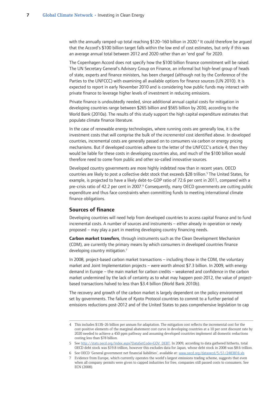<span id="page-8-0"></span>with the annually ramped-up total reaching \$120-160 billion in 2020.<sup>4</sup> It could therefore be argued that the Accord's \$100 billion target falls within the low end of cost estimates, but only if this was an average annual total between 2012 and 2020 rather than an 'end goal' for 2020.

The Copenhagen Accord does not specify how the \$100 billion finance commitment will be raised. The UN Secretary General's Advisory Group on Finance, an informal but high-level group of heads of state, experts and finance ministers, has been charged (although not by the Conference of the Parties to the UNFCCC) with examining all available options for finance sources (UN 2010). It is expected to report in early November 2010 and is considering how public funds may interact with private finance to leverage higher levels of investment in reducing emissions.

Private finance is undoubtedly needed, since additional annual capital costs for mitigation in developing countries range between \$265 billion and \$565 billion by 2030, according to the World Bank (2010a). The results of this study support the high capital expenditure estimates that populate climate finance literature.

In the case of renewable energy technologies, where running costs are generally low, it is the investment costs that will comprise the bulk of the *incremental* cost identified above. In developed countries, incremental costs are generally passed on to consumers via carbon or energy pricing mechanisms. But if developed countries adhere to the letter of the UNFCCC's article 4, then they would be liable for these costs in developing countries also, and much of the \$100 billion would therefore need to come from public and other so-called innovative sources.

Developed country governments are more highly indebted now than in recent years. OECD countries are likely to post a collective debt stock that exceeds \$28 trillion.<sup>5</sup> The United States, for example, is projected to have a likely debt-to-GDP ratio of 72.6 per cent in 2011, compared with a pre-crisis ratio of 42.2 per cent in 2007.<sup>6</sup> Consequently, many OECD governments are cutting public expenditure and thus face constraints when committing funds to meeting international climate finance obligations.

#### **Sources of finance**

Developing countries will need help from developed countries to access capital finance and to fund incremental costs. A number of sources and instruments – either already in operation or newly proposed – may play a part in meeting developing country financing needs.

**Carbon market transfers**, through instruments such as the Clean Development Mechanism (CDM), are currently the primary means by which consumers in developed countries finance developing country mitigation.<sup>7</sup>

In 2008, project-based carbon market transactions – including those in the CDM, the voluntary market and Joint Implementation projects – were worth almost \$7.3 billion. In 2009, with energy demand in Europe – the main market for carbon credits – weakened and confidence in the carbon market undermined by the lack of certainty as to what may happen post-2012, the value of projectbased transactions halved to less than \$3.4 billion (World Bank 2010b).

The recovery and growth of the carbon market is largely dependent on the policy environment set by governments. The failure of Kyoto Protocol countries to commit to a further period of emissions reductions post-2012 and of the United States to pass comprehensive legislation to cap

 See OECD 'General government net financial liabilities', available at: www.oecd.org/dataoecd/5/51/2483816.xls

This includes \$13\$–26 billion per annum for adaptation. The mitigation cost reflects the incremental cost for the cost-positive elements of the marginal abatement cost curve in developing countries at a 10 per cent discount rate by 2020 needed to achieve a 450 ppm pathway and assuming developed countries implement all domestic reductions costing less than \$78 billion.

See http://stats.oecd.org/Index.aspx?DataSetCode=GOV\_DEBT. In 2009, according to data gathered hitherto, total OECD debt stock was \$19.8 trillion, however this excludes data for Japan, whose debt stock in 2008 was \$8.6 trillion.

Evidence from Europe, which currently operates the world's largest emissions trading scheme, suggests that even when all company permits were given to capped industries for free, companies still passed costs to consumers. See ECN (2008).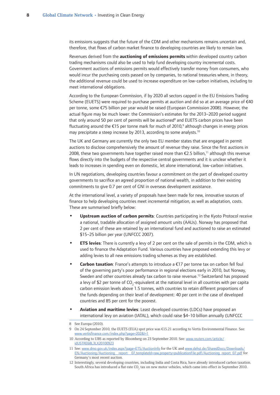its emissions suggests that the future of the CDM and other mechanisms remains uncertain and, therefore, that flows of carbon market finance to developing countries are likely to remain low.

Revenues derived from the **auctioning of emissions permits** within developed country carbon trading mechanisms could also be used to help fund developing country incremental costs. Government auctions of emissions permits would effectively transfer money from consumers, who would incur the purchasing costs passed on by companies, to national treasuries where, in theory, the additional revenue could be used to increase expenditure on low-carbon initiatives, including to meet international obligations.

According to the European Commission, if by 2020 all sectors capped in the EU Emissions Trading Scheme (EUETS) were required to purchase permits at auction and did so at an average price of €40 per tonne, some €75 billion per year would be raised (European Commission 2008). However, the actual figure may be much lower: the Commission's estimates for the 2013–2020 period suggest that only around 50 per cent of permits will be auctioned<sup>8</sup> and EUETS carbon prices have been fluctuating around the  $E15$  per tonne mark for much of 2010,<sup>9</sup> although changes in energy prices may precipitate a steep increase by 2013, according to some analysts.<sup>10</sup>

The UK and Germany are currently the only two EU member states that are engaged in permit auctions to disclose comprehensively the amount of revenue they raise. Since the first auctions in 2008, these two governments have together raised more than  $\epsilon$ 2.5 billion,<sup>11</sup> although this revenue flows directly into the budgets of the respective central governments and it is unclear whether it leads to increases in spending even on domestic, let alone international, low-carbon initiatives.

In UN negotiations, developing countries favour a commitment on the part of developed country governments to sacrifice an agreed proportion of national wealth, in addition to their existing commitments to give 0.7 per cent of GNI in overseas development assistance.

At the international level, a variety of proposals have been made for new, innovative sources of finance to help developing countries meet incremental mitigation, as well as adaptation, costs. These are summarised briefly below:

- **Upstream auction of carbon permits**: Countries participating in the Kyoto Protocol receive a national, tradable allocation of assigned amount units (AAUs). Norway has proposed that 2 per cent of these are retained by an international fund and auctioned to raise an estimated \$15–25 billion per year (UNFCCC 2007). **•**
- **ETS levies**: There is currently a levy of 2 per cent on the sale of permits in the CDM, which is used to finance the Adaptation Fund. Various countries have proposed extending this levy or adding levies to all new emissions trading schemes as they are established. **•**
- **Carbon taxation**: France's attempts to introduce a €17 per tonne tax on carbon fell foul of the governing party's poor performance in regional elections early in 2010, but Norway, Sweden and other countries already tax carbon to raise revenue.<sup>12</sup> Switzerland has proposed a levy of \$2 per tonne of  $\text{CO}_2$ -equivalent at the national level in all countries with per capita carbon emission levels above 1.5 tonnes, with countries to retain different proportions of the funds depending on their level of development: 40 per cent in the case of developed countries and 85 per cent for the poorest. **•**
- **Aviation and maritime levies**: Least developed countries (LDCs) have proposed an international levy on aviation (IATAL), which could raise \$4–10 billion annually (UNFCCC **•**

<sup>8</sup> See Europa (2010).

On 24 September 2010, the EUETS (EUA) spot price was €15.21 according to Vertis Environmental Finance. See: www.vertisfinance.com/index.php?page=202&l=1

<sup>10</sup> According to UBS as reported by Bloomberg on 23 September 2010. See: www.reuters.com/article/ idUSTRE68L3LX20100923

<sup>11</sup> See: www.dmo.gov.uk/index.aspx?page=ETS/AuctionInfo for the UK and www.dehst.de/SharedDocs/Downloads/ EN/Auctioning/Auctioning\_\_report\_\_07,templateId=raw,property=publicationFile.pdf/Auctioning\_report\_07.pdf for Germany's most recent auction.

<sup>12</sup> Interestingly, several developing countries, including India and Costa Rica, have already introduced carbon taxation. South Africa has introduced a flat-rate CO<sub>2</sub> tax on new motor vehicles, which came into effect in September 2010.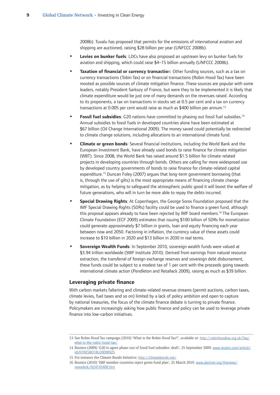2008b). Tuvalu has proposed that permits for the emissions of international aviation and shipping are auctioned, raising \$28 billion per year (UNFCCC 2008b).

- <span id="page-10-0"></span>**Levies on bunker fuels**: LDCs have also proposed an upstream levy on bunker fuels for aviation and shipping, which could raise \$4–15 billion annually (UNFCCC 2008b). **•**
- **Taxation of financial or currency transactio**n: Other funding sources, such as a tax on currency transactions (Tobin Tax) or on financial transactions (Robin Hood Tax) have been mooted as possible sources of climate mitigation finance. These sources are popular with some leaders, notably President Sarkozy of France, but were they to be implemented it is likely that climate expenditure would be just one of many demands on the revenues raised. According to its proponents, a tax on transactions in stocks set at 0.5 per cent and a tax on currency transactions at 0.005 per cent would raise as much as \$400 billion per annum.<sup>13</sup> **•**
- **Fossil fuel subsidies:** G20 nations have committed to phasing out fossil fuel subsidies.<sup>14</sup> Annual subsidies to fossil fuels in developed countries alone have been estimated at \$67 billion (Oil Change International 2009). The money saved could potentially be redirected to climate change solutions, including allocations to an international climate fund. **•**
- **Climate or green bonds**: Several financial institutions, including the World Bank and the European Investment Bank, have already used bonds to raise finance for climate mitigation (WBT). Since 2008, the World Bank has raised around \$1.5 billion for climate-related projects in developing countries through bonds. Others are calling for more widespread use by developed country governments of bonds to raise finance for climate-related capital expenditure.<sup>15</sup> Duncan Foley (2007) argues that long-term government borrowing (that is, through the use of gilts) is the most appropriate means of financing climate change mitigation, as by helping to safeguard the atmospheric public good it will boost the welfare of future generations, who will in turn be more able to repay the debts incurred. **•**
- **Special Drawing Rights**: At Copenhagen, the George Soros Foundation proposed that the IMF Special Drawing Rights (SDRs) facility could be used to finance a green fund, although this proposal appears already to have been rejected by IMF board members.<sup>16</sup> The European Climate Foundation (ECF 2009) estimates that issuing \$100 billion of SDRs for monetization could generate approximately \$7 billion in grants, loan and equity financing each year between now and 2050. Factoring in inflation, the currency value of these assets could increase to \$10 billion in 2020 and \$13 billion in 2030 in real terms. **•**
- **Sovereign Wealth Funds**: In September 2010, sovereign wealth funds were valued at \$3.94 trillion worldwide (SWF Institute 2010). Derived from earnings from natural resource extraction, the transferral of foreign exchange reserves and sovereign debt disbursement, these funds could be subject to a modest tax of 1 per cent with the proceeds going towards international climate action (Pendleton and Retallack 2009), raising as much as \$39 billion. **•**

#### **Leveraging private finance**

With carbon markets faltering and climate-related revenue streams (permit auctions, carbon taxes, climate levies, fuel taxes and so on) limited by a lack of policy ambition and open to capture by national treasuries, the focus of the climate finance debate is turning to private finance. Policymakers are increasingly asking how public finance and policy can be used to leverage private finance into low-carbon initiatives.

<sup>13</sup> See Robin Hood Tax campaign (2010) 'What is the Robin Hood Tax?', available at: http://robinhoodtax.org.uk/faq/ what-is-the-robin-hood-tax/

<sup>14</sup> Reuters (2009) 'G20 to agree phase-out of fossil fuel subsidies: draft', 25 September 2009. www.reuters.com/article/ idUSTRE58O18U20090925

<sup>15</sup> For instance the Climate Bonds Initiative: http://climatebonds.net/

<sup>16</sup> Reuters (2010) 'IMF member countries reject green fund plan', 25 March 2010. www.alertnet.org/thenews/ newsdesk/N24143408.htm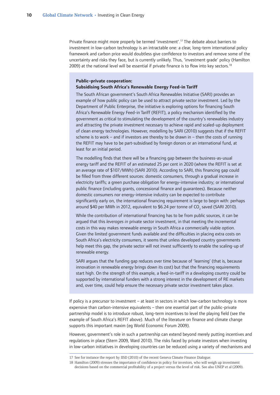Private finance might more properly be termed 'investment'.<sup>17</sup> The debate about barriers to investment in low-carbon technology is an intractable one: a clear, long-term international policy framework and carbon price would doubtless give confidence to investors and remove some of the uncertainty and risks they face, but is currently unlikely. Thus, 'investment grade' policy (Hamilton 2009) at the national level will be essential if private finance is to flow into key sectors.<sup>18</sup>

#### **Public–private cooperation: Subsidising South Africa's Renewable Energy Feed-in Tariff**

The South African government's South Africa Renewables Initiative (SARI) provides an example of how public policy can be used to attract private sector investment. Led by the Department of Public Enterprise, the initiative is exploring options for financing South Africa's Renewable Energy Feed-in Tariff (REFIT), a policy mechanism identified by the government as critical to stimulating the development of the country's renewables industry and attracting the private investment necessary to achieve rapid and scaled-up deployment of clean energy technologies. However, modelling by SARI (2010) suggests that if the REFIT scheme is to work – and if investors are thereby to be drawn in – then the costs of running the REFIT may have to be part-subsidised by foreign donors or an international fund, at least for an initial period.

The modelling finds that there will be a financing gap between the business-as-usual energy tariff and the REFIT of an estimated 25 per cent in 2020 (where the REFIT is set at an average rate of \$107/MWh) (SARI 2010). According to SARI, this financing gap could be filled from three different sources: domestic consumers, through a gradual increase in electricity tariffs; a green purchase obligation for energy-intensive industry; or international public finance (including grants, concessional finance and guarantees). Because neither domestic consumers nor energy-intensive industry can be expected to contribute significantly early on, the international financing requirement is large to begin with: perhaps around \$40 per MWh in 2012, equivalent to \$6.24 per tonne of  $CO_2$  saved (SARI 2010).

While the contribution of international financing has to be from public sources, it can be argued that this *leverages in* private sector investment, in that meeting the incremental costs in this way makes renewable energy in South Africa a commercially viable option. Given the limited government funds available and the difficulties in placing extra costs on South Africa's electricity consumers, it seems that unless developed country governments help meet this gap, the private sector will not invest sufficiently to enable the scaling-up of renewable energy.

SARI argues that the funding gap reduces over time because of 'learning' (that is, because innovation in renewable energy brings down its cost) but that the financing requirements start high. On the strength of this example, a feed-in-tariff in a developing country could be supported by international funders with a strong interest in the development of RE markets and, over time, could help ensure the necessary private sector investment takes place.

If policy is a precursor to investment – at least in sectors in which low-carbon technology is more expensive than carbon-intensive equivalents – then one essential part of the public-private partnership model is to introduce robust, long-term incentives to level the playing field (see the example of South Africa's REFIT above). Much of the literature on finance and climate change supports this important maxim (eg World Economic Forum 2009).

However, government's role in such a partnership can extend beyond merely putting incentives and regulations in place (Stern 2009, Ward 2010). The risks faced by private investors when investing in low-carbon initiatives in developing countries can be reduced using a variety of mechanisms and

<sup>17</sup> See for instance the report by IISD (2010) of the recent Geneva Climate Finance Dialogue.

<sup>18</sup> Hamilton (2009) stresses the importance of confidence in policy for investors, who will weigh up investment decisions based on the commercial profitability of a project versus the level of risk. See also UNEP et al (2009).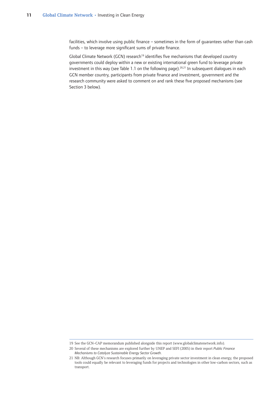facilities, which involve using public finance – sometimes in the form of guarantees rather than cash funds – to leverage more significant sums of private finance.

Global Climate Network (GCN) research<sup>19</sup> identifies five mechanisms that developed country governments could deploy within a new or existing international green fund to leverage private investment in this way (see Table 1.1 on the following page).<sup>20,21</sup> In subsequent dialogues in each GCN member country, participants from private finance and investment, government and the research community were asked to comment on and rank these five proposed mechanisms (see Section 3 below).

<sup>19</sup> See the GCN–CAP memorandum published alongside this report (www.globalclimatenetwork.info).

<sup>20</sup> Several of these mechanisms are explored further by UNEP and SEFI (2005) in their report *Public Finance Mechanisms to Catalyze Sustainable Energy Sector Growth*.

<sup>21</sup> NB: Although GCN's research focuses primarily on leveraging private sector investment in clean energy, the proposed tools could equally be relevant to leveraging funds for projects and technologies in other low-carbon sectors, such as transport.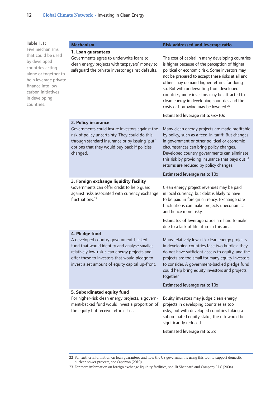**Table 1.1:** 

| Table 1.1:                                                                                                                                                                                           | <b>Mechanism</b>                                                                                                                                                                                                                                              | <b>Risk addressed and leverage ratio</b>                                                                                                                                                                                                                                                                                                                                                                                                               |
|------------------------------------------------------------------------------------------------------------------------------------------------------------------------------------------------------|---------------------------------------------------------------------------------------------------------------------------------------------------------------------------------------------------------------------------------------------------------------|--------------------------------------------------------------------------------------------------------------------------------------------------------------------------------------------------------------------------------------------------------------------------------------------------------------------------------------------------------------------------------------------------------------------------------------------------------|
| Five mechanisms<br>that could be used<br>by developed<br>countries acting<br>alone or together to<br>help leverage private<br>finance into low-<br>carbon initiatives<br>in developing<br>countries. | 1. Loan guarantees<br>Governments agree to underwrite loans to<br>clean energy projects with taxpayers' money to<br>safeguard the private investor against defaults.                                                                                          | The cost of capital in many developing countries<br>is higher because of the perception of higher<br>political or economic risk. Some investors may<br>not be prepared to accept these risks at all and<br>others may demand higher returns for doing<br>so. But with underwriting from developed<br>countries, more investors may be attracted to<br>clean energy in developing countries and the<br>costs of borrowing may be lowered. <sup>22</sup> |
|                                                                                                                                                                                                      |                                                                                                                                                                                                                                                               | Estimated leverage ratio: 6x-10x                                                                                                                                                                                                                                                                                                                                                                                                                       |
|                                                                                                                                                                                                      | 2. Policy insurance<br>Governments could insure investors against the<br>risk of policy uncertainty. They could do this<br>through standard insurance or by issuing 'put'<br>options that they would buy back if policies<br>changed.                         | Many clean energy projects are made profitable<br>by policy, such as a feed-in-tariff. But changes<br>in government or other political or economic<br>circumstances can bring policy changes.<br>Developed country governments can eliminate<br>this risk by providing insurance that pays out if<br>returns are reduced by policy changes.                                                                                                            |
|                                                                                                                                                                                                      |                                                                                                                                                                                                                                                               | Estimated leverage ratio: 10x                                                                                                                                                                                                                                                                                                                                                                                                                          |
|                                                                                                                                                                                                      | 3. Foreign exchange liquidity facility<br>Governments can offer credit to help quard<br>against risks associated with currency exchange<br>fluctuations. <sup>23</sup>                                                                                        | Clean energy project revenues may be paid<br>in local currency, but debt is likely to have<br>to be paid in foreign currency. Exchange rate<br>fluctuations can make projects uneconomical<br>and hence more risky.                                                                                                                                                                                                                                    |
|                                                                                                                                                                                                      |                                                                                                                                                                                                                                                               | Estimates of leverage ratios are hard to make<br>due to a lack of literature in this area.                                                                                                                                                                                                                                                                                                                                                             |
|                                                                                                                                                                                                      | 4. Pledge fund<br>A developed country government-backed<br>fund that would identify and analyse smaller,<br>relatively low-risk clean energy projects and<br>offer these to investors that would pledge to<br>invest a set amount of equity capital up-front. | Many relatively low-risk clean energy projects<br>in developing countries face two hurdles: they<br>do not have sufficient access to equity, and the<br>projects are too small for many equity investors<br>to consider. A government-backed pledge fund<br>could help bring equity investors and projects<br>together.                                                                                                                                |
|                                                                                                                                                                                                      |                                                                                                                                                                                                                                                               | Estimated leverage ratio: 10x                                                                                                                                                                                                                                                                                                                                                                                                                          |
|                                                                                                                                                                                                      | 5. Subordinated equity fund<br>For higher-risk clean energy projects, a govern-<br>ment-backed fund would invest a proportion of<br>the equity but receive returns last.                                                                                      | Equity investors may judge clean energy<br>projects in developing countries as too<br>risky, but with developed countries taking a<br>subordinated equity stake, the risk would be<br>significantly reduced.<br>Estimated leverage ratio: 2x                                                                                                                                                                                                           |

<sup>22</sup> For further information on loan guarantees and how the US government is using this tool to support domestic nuclear power projects, see Caperton (2010).

<sup>23</sup> For more information on foreign exchange liquidity facilities, see JR Sheppard and Company LLC (2004).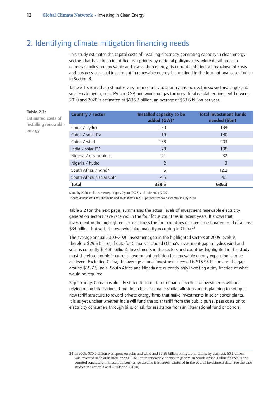## <span id="page-14-0"></span>2. Identifying climate mitigation financing needs

This study estimates the capital costs of installing electricity generating capacity in clean energy sectors that have been identified as a priority by national policymakers. More detail on each country's policy on renewable and low-carbon energy, its current ambition, a breakdown of costs and business-as-usual investment in renewable energy is contained in the four national case studies in Section 3.

Table 2.1 shows that estimates vary from country to country and across the six sectors: large- and small-scale hydro, solar PV and CSP, and wind and gas turbines. Total capital requirement between 2010 and 2020 is estimated at \$636.3 billion, an average of \$63.6 billion per year.

| ρf  | Country / sector         | Installed capacity to be<br>added (GW)* | <b>Total investment funds</b><br>needed (\$bn) |
|-----|--------------------------|-----------------------------------------|------------------------------------------------|
| ble | China / hydro            | 130                                     | 134                                            |
|     | China / solar PV         | 19                                      | 140                                            |
|     | China / wind             | 138                                     | 203                                            |
|     | India / solar PV         | 20                                      | 108                                            |
|     | Nigeria / gas turbines   | 21                                      | 32                                             |
|     | Nigeria / hydro          | $\mathcal{P}$                           | 3                                              |
|     | South Africa / wind*     | 5                                       | 12.2                                           |
|     | South Africa / solar CSP | 4.5                                     | 4.1                                            |
|     | <b>Total</b>             | 339.5                                   | 636.3                                          |

Note: by 2020 in all cases except Nigeria hydro (2025) and India solar (2022)

\*South African data assumes wind and solar shares in a 15 per cent renewable energy mix by 2020

Table 2.2 (on the next page) summarises the actual levels of investment renewable electricity generation sectors have received in the four focus countries in recent years. It shows that investment in the highlighted sectors across the four countries reached an estimated total of almost \$34 billion, but with the overwhelming majority occurring in China.<sup>24</sup>

The average annual 2010–2020 investment gap in the highlighted sectors at 2009 levels is therefore \$29.6 billion, if data for China is included (China's investment gap in hydro, wind and solar is currently \$14.81 billion). Investments in the sectors and countries highlighted in this study must therefore double if current government ambition for renewable energy expansion is to be achieved. Excluding China, the average annual investment needed is \$15.93 billion and the gap around \$15.73; India, South Africa and Nigeria are currently only investing a tiny fraction of what would be required.

Significantly, China has already stated its intention to finance its climate investments without relying on an international fund. India has also made similar allusions and is planning to set up a new tariff structure to reward private energy firms that make investments in solar power plants. It is as yet unclear whether India will fund the solar tariff from the public purse, pass costs on to electricity consumers through bills, or ask for assistance from an international fund or donors.

## **Table 2.1:**

Estimated costs of installing renewa energy

<sup>24</sup> In 2009, \$30.5 billion was spent on solar and wind and \$2.39 billion on hydro in China; by contrast, \$0.1 billion was invested in solar in India and \$0.1 billion in renewable energy in general in South Africa. Public finance is not counted separately in these numbers, as we assume it is largely captured in the overall investment data. See the case studies in Section 3 and UNEP et al (2010).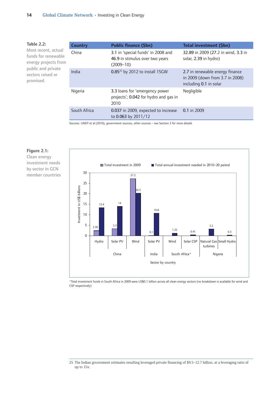#### **Table 2.2:**

Most recent, actual funds for renewable energy projects from public and private sectors raised or promised.

| <b>Country</b> | <b>Public finance (\$bn)</b>                                                           | Total investment (\$bn)                                                                      |
|----------------|----------------------------------------------------------------------------------------|----------------------------------------------------------------------------------------------|
| China          | 3.1 in 'special funds' in 2008 and<br>46.9 in stimulus over two years<br>$(2009 - 10)$ | 32.89 in 2009 (27.2 in wind, 3.3 in<br>solar, 2.39 in hydro)                                 |
| India          | 0.85 <sup>25</sup> by 2012 to install 15GW                                             | 2.7 in renewable energy finance<br>in 2009 (down from 3.7 in 2008)<br>including 0.1 in solar |
| Nigeria        | 3.3 loans for 'emergency power<br>projects'; 0.042 for hydro and gas in<br>2010        | Negligible                                                                                   |
| South Africa   | 0.037 in 2009, expected to increase<br>to 0.063 by 2011/12                             | 0.1 in 2009                                                                                  |

Sources: UNEP et al (2010), government sources, other sources – see Section 3 for more details



\*Total investment funds in South Africa in 2009 were US\$0.1 billion across all clean energy sectors (no breakdown is available for wind and CSP respectively)

<sup>25</sup> The Indian government estimates resulting leveraged private financing of \$9.5-12.7 billion, at a leveraging ratio of up to 15x.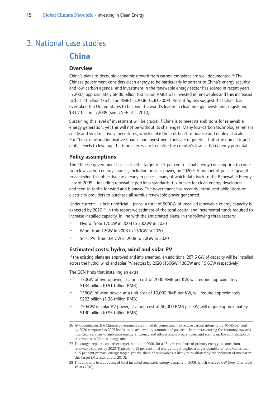## <span id="page-16-0"></span>**China** 3. National case studies

#### **Overview**

China's plans to decouple economic growth from carbon emissions are well documented.<sup>26</sup> The Chinese government considers clean energy to be particularly important to China's energy security and low-carbon agenda, and investment in the renewable energy sector has soared in recent years. In 2007, approximately \$8.86 billion (60 billion RMB) was invested in renewables and this increased to \$11.23 billion (76 billion RMB) in 2008 (CCID 2009). Recent figures suggest that China has overtaken the United States to become the world's leader in clean energy investment, registering \$33.7 billion in 2009 (see UNEP et al 2010).

Sustaining this level of investment will be crucial if China is to meet its ambitions for renewable energy generation, yet this will not be without its challenges. Many low-carbon technologies remain costly and yield relatively low returns, which make them difficult to finance and deploy at scale. For China, new and innovative finance and investment tools are required at both the domestic and global levels to leverage the funds necessary to realise the country's low-carbon energy potential.

#### **Policy assumptions**

The Chinese government has set itself a target of 15 per cent of final energy consumption to come from low-carbon energy sources, including nuclear power, by 2020.27 A number of policies geared to achieving this objective are already in place – many of which date back to the Renewable Energy Law of 2005 – including renewable portfolio standards, tax breaks for clean energy developers and feed-in tariffs for wind and biomass. The government has recently introduced obligations on electricity providers to purchase all surplus renewable power generated.

Under current – albeit unofficial – plans, a total of 500GW of installed renewable energy capacity is expected by 2020.<sup>28</sup> In this report we estimate of the total capital and incremental funds required to increase installed capacity, in line with the anticipated plans, in the following three sectors:

- Hydro: from 170GW in 2008 to 300GW in 2020 •
- Wind: from 12GW in 2008 to 150GW in 2020 •
- Solar PV: from 0.4 GW in 2008 to 20GW in 2020 •

#### **Estimated costs: hydro, wind and solar PV**

If the existing plans are approved and implemented, an additional 287.6 GW of capacity will be installed across the hydro, wind and solar PV sectors by 2020 (130GW, 138GW and 19.6GW respectively).

The GCN finds that installing an extra:

- 130GW of hydropower, at a unit cost of 7000 RMB per KW, will require approximately \$134 billion (0.91 trillion RMB) •
- 138GW of wind power, at a unit cost of 10,000 RMB per KW, will require approximately \$203 billion (1.38 trillion RMB) •
- 19.6GW of solar PV power, at a unit cost of 50,000 RMB per KW, will require approximately \$140 billion (0.95 trillion RMB). •

<sup>26</sup> At Copenhagen, the Chinese government confirmed its commitment to reduce carbon intensity by 40–45 per cent by 2020 compared to 2005 levels, to be achieved by a number of policies – from restructuring the economy towards high-tech services to ambitious energy efficiency and afforestation programmes, and scaling up the contribution of renewables to China's energy mix.

<sup>27</sup> This target replaces an earlier target, set out in 2006, for a 15 per cent share of primary energy to come from renewable sources by 2020. Typically, a 15 per cent final energy target implies a larger quantity of renewables than a 15 per cent primary energy target, yet the share of renewables is likely to be diluted by the inclusion of nuclear in this target (Martinot and Li 2010).

<sup>28</sup> This amounts to a doubling of total installed renewable energy capacity in 2009, which was 226 GW (Pew Charitable Trusts 2010).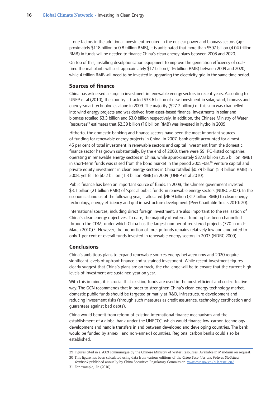<span id="page-17-0"></span>If one factors in the additional investment required in the nuclear power and biomass sectors (approximately \$118 billion or 0.8 trillion RMB), it is anticipated that more than \$597 billion (4.04 trillion RMB) in funds will be needed to finance China's clean energy plans between 2008 and 2020.

On top of this, installing desulphurisation equipment to improve the generation efficiency of coalfired thermal plants will cost approximately \$17 billion (116 billion RMB) between 2009 and 2020, while 4 trillion RMB will need to be invested in upgrading the electricity grid in the same time period.

#### **Sources of finance**

China has witnessed a surge in investment in renewable energy sectors in recent years. According to UNEP et al (2010), the country attracted \$33.6 billion of new investment in solar, wind, biomass and energy-smart technologies alone in 2009. The majority (\$27.2 billion) of this sum was channelled into wind energy projects and was derived from asset-based finance. Investments in solar and biomass totalled \$3.3 billion and \$3.0 billion respectively. In addition, the Chinese Ministry of Water Resources<sup>29</sup> estimates that \$2.39 billion (16 billion RMB) was invested in hydro in 2009.

Hitherto, the domestic banking and finance sectors have been the most important sources of funding for renewable energy projects in China. In 2007, bank credit accounted for almost 45 per cent of total investment in renewable sectors and capital investment from the domestic finance sector has grown substantially. By the end of 2008, there were 59 IPO-listed companies operating in renewable energy sectors in China, while approximately \$37.8 billion (256 billion RMB) in short-term funds was raised from the bond market in the period 2005–08. $30$  Venture capital and private equity investment in clean energy sectors in China totalled \$0.79 billion (5.3 billion RMB) in 2008, yet fell to \$0.2 billion (1.3 billion RMB) in 2009 (UNEP et al 2010).

Public finance has been an important source of funds. In 2008, the Chinese government invested \$3.1 billion (21 billion RMB) of 'special public funds' in renewable energy sectors (NDRC 2007). In the economic stimulus of the following year, it allocated \$46.9 billion (317 billion RMB) to clean energy technology, energy efficiency and grid infrastructure development (Pew Charitable Trusts 2010: 20).

International sources, including direct foreign investment, are also important to the realisation of China's clean energy objectives. To date, the majority of external funding has been channelled through the CDM, under which China has the largest number of registered projects (770 in mid-March 2010).<sup>31</sup> However, the proportion of foreign funds remains relatively low and amounted to only 1 per cent of overall funds invested in renewable energy sectors in 2007 (NDRC 2009).

### **Conclusions**

China's ambitious plans to expand renewable sources energy between now and 2020 require significant levels of upfront finance and sustained investment. While recent investment figures clearly suggest that China's plans are on track, the challenge will be to ensure that the current high levels of investment are sustained year on year.

With this in mind, it is crucial that existing funds are used in the most efficient and cost-effective way. The GCN recommends that in order to strengthen China's clean energy technology market, domestic public funds should be targeted primarily at R&D, infrastructure development and reducing investment risks (through such measures as credit assurance, technology certification and guarantees against bad debts).

China would benefit from reform of existing international finance mechanisms and the establishment of a global bank under the UNFCCC, which would finance low-carbon technology development and handle transfers in and between developed and developing countries. The bank would be funded by annex I and non-annex I countries. Regional carbon banks could also be established.

<sup>29</sup> Figures cited in a 2009 communiqué by the Chinese Ministry of Water Resources. Available in Mandarin on request.

<sup>30</sup> This figure has been calculated using data from various editions of the *China Securities and Futures Statistical* 

*Yearbook* published annually by China Securities Regulatory Commission. www.csrc.gov.cn/pub/csrc\_en/ 31 For example, Jia (2010).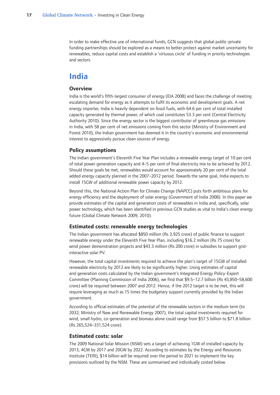<span id="page-18-0"></span>In order to make effective use of international funds, GCN suggests that global public-private funding partnerships should be explored as a means to better protect against market uncertainty for renewables, reduce capital costs and establish a 'virtuous circle' of funding in priority technologies and sectors.

## **India**

#### **Overview**

India is the world's fifth-largest consumer of energy (EIA 2008) and faces the challenge of meeting escalating demand for energy as it attempts to fulfil its economic and development goals. A net energy importer, India is heavily dependent on fossil fuels, with 64.6 per cent of total installed capacity generated by thermal power, of which coal constitutes 53.3 per cent (Central Electricity Authority 2010). Since the energy sector is the biggest contributor of greenhouse gas emissions in India, with 58 per cent of net emissions coming from this sector (Ministry of Environment and Forest 2010), the Indian government has deemed it in the country's economic and environmental interest to aggressively pursue clean sources of energy.

#### **Policy assumptions**

The Indian government's Eleventh Five Year Plan includes a renewable energy target of 10 per cent of total power generation capacity and 4–5 per cent of final electricity mix to be achieved by 2012. Should these goals be met, renewables would account for approximately 20 per cent of the total added energy capacity planned in the 2007–2012 period. Towards the same goal, India expects to install 15GW of additional renewable power capacity by 2012.

Beyond this, the National Action Plan for Climate Change (NAPCC) puts forth ambitious plans for energy efficiency and the deployment of solar energy (Government of India 2008). In this paper we provide estimates of the capital and generation costs of renewables in India and, specifically, solar power technology, which has been identified in previous GCN studies as vital to India's clean energy future (Global Climate Network 2009, 2010).

#### **Estimated costs: renewable energy technologies**

The Indian government has allocated \$850 million (Rs 3,925 crore) of public finance to support renewable energy under the Eleventh Five Year Plan, including \$16.2 million (Rs 75 crore) for wind power demonstration projects and \$43.3 million (Rs 200 crore) in subsidies to support gridinteractive solar PV.

However, the total capital investments required to achieve the plan's target of 15GW of installed renewable electricity by 2012 are likely to be significantly higher. Using estimates of capital and generation costs calculated by the Indian government's Integrated Energy Policy-Expert Committee (Planning Commission of India 2006), we find that \$9.5–12.7 billion (Rs 43,850–58,600 crore) will be required between 2007 and 2012. Hence, if the 2012 target is to be met, this will require leveraging as much as 15 times the budgetary support currently provided by the Indian government.

According to official estimates of the potential of the renewable sectors in the medium term (to 2032; Ministry of New and Renewable Energy 2007), the total capital investments required for wind, small hydro, co-generation and biomass alone could range from \$57.5 billion to \$71.8 billion (Rs 265,524–331,524 crore).

#### **Estimated costs: solar**

The 2009 National Solar Mission (NSM) sets a target of achieving 1GW of installed capacity by 2013, 4GW by 2017 and 20GW by 2022. According to estimates by the Energy and Resources Institute (TERI), \$14 billion will be required over the period to 2021 to implement the key provisions outlined by the NSM. These are summarised and individually costed below.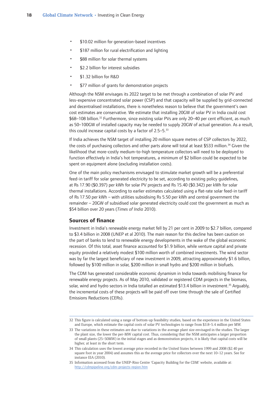- <span id="page-19-0"></span>\$10.02 million for generation-based incentives •
- \$187 million for rural electrification and lighting •
- \$88 million for solar thermal systems •
- \$2.2 billion for interest subsidies •
- \$1.32 billion for R&D •
- \$77 million of grants for demonstration projects •

Although the NSM envisages its 2022 target to be met through a combination of solar PV and less-expensive concentrated solar power (CSP) and that capacity will be supplied by grid-connected and decentralised installations, there is nonetheless reason to believe that the government's own cost estimates are conservative. We estimate that installing 20GW of solar PV in India could cost \$68–108 billion.32 Furthermore, since existing solar PVs are only 20–40 per cent efficient, as much as 50–100GW of installed capacity may be needed to supply 20GW of actual generation. As a result, this could increase capital costs by a factor of  $2.5-5.^{33}$ 

If India achieves the NSM target of installing 20 million square metres of CSP collectors by 2022, the costs of purchasing collectors and other parts alone will total at least \$533 million.<sup>34</sup> Given the likelihood that more-costly medium-to-high temperature collectors will need to be deployed to function effectively in India's hot temperatures, a minimum of \$2 billion could be expected to be spent on equipment alone (excluding installation costs).

One of the main policy mechanisms envisaged to stimulate market growth will be a preferential feed-in tariff for solar generated electricity to be set, according to existing policy guidelines, at Rs 17.90 (\$0.397) per kWh for solar PV projects and Rs 15.40 (\$0.342) per kWh for solar thermal installations. According to earlier estimates calculated using a flat-rate solar feed-in tariff of Rs 17.50 per kWh – with utilities subsidising Rs 5.50 per kWh and central government the remainder – 20GW of subsidised solar generated electricity could cost the government as much as \$54 billion over 20 years (*Times of India* 2010).

#### **Sources of finance**

Investment in India's renewable energy market fell by 21 per cent in 2009 to \$2.7 billion, compared to \$3.4 billion in 2008 (UNEP et al 2010). The main reason for this decline has been caution on the part of banks to lend to renewable energy developments in the wake of the global economic recession. Of this total, asset finance accounted for \$1.9 billion, while venture capital and private equity provided a relatively modest \$100 million worth of combined investments. The wind sector was by far the largest beneficiary of new investment in 2009, attracting approximately \$1.6 billion, followed by \$100 million in solar, \$200 million in small hydro and \$200 million in biofuels.

The CDM has generated considerable economic dynamism in India towards mobilising finance for renewable energy projects. As of May 2010, validated or registered CDM projects in the biomass, solar, wind and hydro sectors in India totalled an estimated \$13.4 billion in investment.<sup>35</sup> Arguably, the incremental costs of these projects will be paid off over time through the sale of Certified Emissions Reductions (CERs).

<sup>32</sup> This figure is calculated using a range of bottom-up feasibility studies, based on the experience in the United States and Europe, which estimate the capital costs of solar PV technologies to range from \$3.8–5.4 million per MW.

<sup>33</sup> The variations in these estimates are due to variations in the average plant size envisaged in the studies. The larger the plant size, the lower the per-MW capital cost. Thus, considering that the NSM anticipates a larger proportion of small plants (25–50MW) in the initial stages and as demonstration projects, it is likely that capital costs will be higher, at least in the short term.

<sup>34</sup> This calculation uses the lowest average price recorded in the United States between 1999 and 2008 (\$2.40 per square foot in year 2004) and assumes this as the average price for collectors over the next 10–12 years. See for instance EIA (2010).

<sup>35</sup> Information accessed from the UNEP-Riso Centre 'Capacity Building for the CDM' website, available at: http://cdmpipeline.org/cdm-projects-region.htm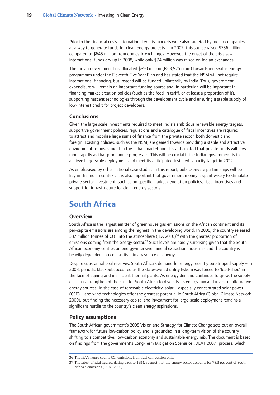<span id="page-20-0"></span>Prior to the financial crisis, international equity markets were also targeted by Indian companies as a way to generate funds for clean energy projects – in 2007, this source raised \$756 million, compared to \$646 million from domestic exchanges. However, the onset of the crisis saw international funds dry up in 2008, while only \$74 million was raised on Indian exchanges.

The Indian government has allocated \$850 million (Rs 3,925 crore) towards renewable energy programmes under the Eleventh Five Year Plan and has stated that the NSM will not require international financing, but instead will be funded unilaterally by India. Thus, government expenditure will remain an important funding source and, in particular, will be important in financing market creation policies (such as the feed-in tariff, or at least a proportion of it), supporting nascent technologies through the development cycle and ensuring a stable supply of low-interest credit for project developers.

#### **Conclusions**

Given the large scale investments required to meet India's ambitious renewable energy targets, supportive government policies, regulations and a catalogue of fiscal incentives are required to attract and mobilise large sums of finance from the private sector, both domestic and foreign. Existing policies, such as the NSM, are geared towards providing a stable and attractive environment for investment in the Indian market and it is anticipated that private funds will flow more rapidly as that programme progresses. This will be crucial if the Indian government is to achieve large-scale deployment and meet its anticipated installed capacity target in 2022.

As emphasised by other national case studies in this report, public-private partnerships will be key in the Indian context. It is also important that government money is spent wisely to stimulate private sector investment, such as on specific market generation policies, fiscal incentives and support for infrastructure for clean energy sectors.

## **South Africa**

#### **Overview**

South Africa is the largest emitter of greenhouse gas emissions on the African continent and its per-capita emissions are among the highest in the developing world. In 2008, the country released 337 million tonnes of CO<sub>2</sub> into the atmosphere (IEA 2010)<sup>36</sup> with the greatest proportion of emissions coming from the energy sector.<sup>37</sup> Such levels are hardly surprising given that the South African economy centres on energy-intensive mineral extraction industries and the country is heavily dependent on coal as its primary source of energy.

Despite substantial coal reserves, South Africa's demand for energy recently outstripped supply – in 2008, periodic blackouts occurred as the state-owned utility Eskom was forced to 'load-shed' in the face of ageing and inefficient thermal plants. As energy demand continues to grow, the supply crisis has strengthened the case for South Africa to diversify its energy mix and invest in alternative energy sources. In the case of renewable electricity, solar – especially concentrated solar power (CSP) – and wind technologies offer the greatest potential in South Africa (Global Climate Network 2009), but finding the necessary capital and investment for large-scale deployment remains a significant hurdle to the country's clean energy aspirations.

#### **Policy assumptions**

The South African government's 2008 Vision and Strategy for Climate Change sets out an overall framework for future low-carbon policy and is grounded in a long-term vision of the country shifting to a competitive, low-carbon economy and sustainable energy mix. The document is based on findings from the government's Long-Term Mitigation Scenarios (DEAT 2007) process, which

<sup>36</sup> The IEA's figure counts CO<sub>2</sub> emissions from fuel combustion only.

<sup>37</sup> The latest official figures, dating back to 1994, suggest that the energy sector accounts for 78.3 per cent of South Africa's emissions (DEAT 2009).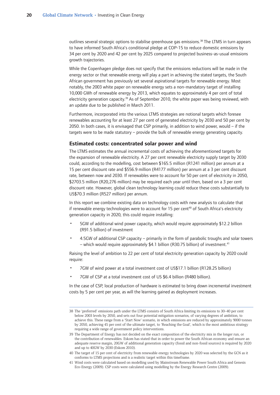<span id="page-21-0"></span>outlines several strategic options to stabilise greenhouse gas emissions.38 The LTMS in turn appears to have informed South Africa's conditional pledge at COP-15 to reduce domestic emissions by 34 per cent by 2020 and 42 per cent by 2025 compared to projected business-as-usual emissions growth trajectories.

While the Copenhagen pledge does not specify that the emissions reductions will be made in the energy sector or that renewable energy will play a part in achieving the stated targets, the South African government has previously set several aspirational targets for renewable energy. Most notably, the 2003 white paper on renewable energy sets a non-mandatory target of installing 10,000 GWh of renewable energy by 2013, which equates to approximately 4 per cent of total electricity generation capacity.<sup>39</sup> As of September 2010, the white paper was being reviewed, with an update due to be published in March 2011.

Furthermore, incorporated into the various LTMS strategies are notional targets which foresee renewables accounting for at least 27 per cent of generated electricity by 2030 and 50 per cent by 2050. In both cases, it is envisaged that CSP primarily, in addition to wind power, would – if the targets were to be made statutory – provide the bulk of renewable energy generating capacity.

#### **Estimated costs: concentrated solar power and wind**

The LTMS estimates the annual incremental costs of achieving the aforementioned targets for the expansion of renewable electricity. A 27 per cent renewable electricity supply target by 2030 could, according to the modelling, cost between \$165.5 million (R1241 million) per annum at a 15 per cent discount rate and \$556.9 million (R4177 million) per annum at a 3 per cent discount rate, between now and 2030. If renewables were to account for 50 per cent of electricity in 2050, \$2703.5 million (R20,276 million) may be required each year until then, based on a 3 per cent discount rate. However, global clean technology learning could reduce these costs substantially to US\$70.3 million (R527 million) per annum.

In this report we combine existing data on technology costs with new analysis to calculate that if renewable energy technologies were to account for 15 per cent<sup>40</sup> of South Africa's electricity generation capacity in 2020, this could require installing:

- 5GW of additional wind power capacity, which would require approximately \$12.2 billion (R91.5 billion) of investment •
- 4.5GW of additional CSP capacity primarily in the form of parabolic troughs and solar towers – which would require approximately \$4.1 billion (R30.75 billion) of investment.<sup>41</sup> •

Raising the level of ambition to 22 per cent of total electricity generation capacity by 2020 could require:

- 7GW of wind power at a total investment cost of US\$17.1 billion (R128.25 billion) •
- 7GW of CSP at a total investment cost of US \$6.4 billion (R480 billion). •

In the case of CSP, local production of hardware is estimated to bring down incremental investment costs by 5 per cent per year, as will the learning gained as deployment increases.

<sup>38</sup> The 'preferred' emissions path under the LTMS consists of South Africa limiting its emissions to 30–40 per cent below 2003 levels by 2050, and sets out four potential mitigation scenarios, of varying degrees of ambition, to achieve this. These range from a 'Start Now' scenario, in which emissions are reduced by approximately 9000 tonnes by 2050, achieving 45 per cent of the ultimate target, to 'Reaching the Goal', which is the most ambitious strategy requiring a wide range of government policy interventions.

<sup>39</sup> The Department of Energy has not decided on the exact composition of the electricity mix in the longer run, or the contribution of renewables. Eskom has stated that in order to power the South African economy and ensure an adequate reserve margin, 20GW of additional generation capacity (fossil and non-fossil sources) is required by 2020 and up to 40GW by 2030 (Eskom 2010).

<sup>40</sup> The target of 15 per cent of electricity from renewable energy technologies by 2020 was selected by the GCN as it conforms to LTMS projections and is a realistic target within this timeframe.

<sup>41</sup> Wind costs were calculated based on modelling used by Mainstream Renewable Power South Africa and Genesis Eco-Energy (2009). CSP costs were calculated using modelling by the Energy Research Centre (2009).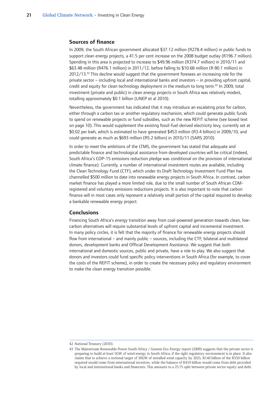#### <span id="page-22-0"></span>**Sources of finance**

In 2009, the South African government allocated \$37.12 million (R278.4 million) in public funds to support clean energy projects, a 41.5 per cent increase on the 2008 budget outlay (R196.7 million). Spending in this area is projected to increase to \$49.96 million (R374.7 million) in 2010/11 and \$63.48 million (R476.1 million) in 2011/12, before falling to \$10.68 million (R 80.1 million) in 2012/13.42 This decline would suggest that the government foresees an increasing role for the private sector – including local and international banks and investors – in providing upfront capital, credit and equity for clean technology deployment in the medium to long term.<sup>43</sup> In 2009, total investment (private and public) in clean energy projects in South Africa was relatively modest, totalling approximately \$0.1 billion (UNEP et al 2010).

Nevertheless, the government has indicated that it may introduce an escalating price for carbon, either through a carbon tax or another regulatory mechanism, which could generate public funds to spend on renewable projects or fund subsidies, such as the new REFIT scheme (see boxed text on page 10). This would supplement the existing fossil-fuel derived electricity levy, currently set at \$0.02 per kwh, which is estimated to have generated \$453 million (R3.4 billion) in 2009/10, and could generate as much as \$693 million (R5.2 billion) in 2010/11 (SARS 2010).

In order to meet the ambitions of the LTMS, the government has stated that adequate and predictable finance and technological assistance from developed countries will be critical (indeed, South Africa's COP-15 emissions reduction pledge was conditional on the provision of international climate finance). Currently, a number of international investment routes are available, including the Clean Technology Fund (CTF), which under its Draft Technology Investment Fund Plan has channelled \$500 million to date into renewable energy projects in South Africa. In contrast, carbon market finance has played a more limited role, due to the small number of South African CDMregistered and voluntary emissions reductions projects. It is also important to note that carbon finance will in most cases only represent a relatively small portion of the capital required to develop a bankable renewable energy project.

#### **Conclusions**

Financing South Africa's energy transition away from coal-powered generation towards clean, lowcarbon alternatives will require substantial levels of upfront capital and incremental investment. In many policy circles, it is felt that the majority of finance for renewable energy projects should flow from international – and mainly public – sources, including the CTF, bilateral and multilateral donors, development banks and Official Development Assistance. We suggest that both international and domestic sources, public and private, have a role to play. We also suggest that donors and investors could fund specific policy interventions in South Africa (for example, to cover the costs of the REFIT scheme), in order to create the necessary policy and regulatory environment to make the clean energy transition possible.

<sup>42</sup> National Treasury (2010).

<sup>43</sup> The Mainstream Renewable Power South Africa / Genesis Eco-Energy report (2009) suggests that the private sector is preparing to build at least 5GW of wind energy in South Africa, if the right regulatory environment is in place. It also claims that to achieve a notional target of 30GW of installed wind capacity by 2025, R140 billion of the R550 billion required would come from international investors, while the balance of R410 billion would come from debt provided by local and international banks and financiers. This amounts to a 25:75 split between private sector equity and debt.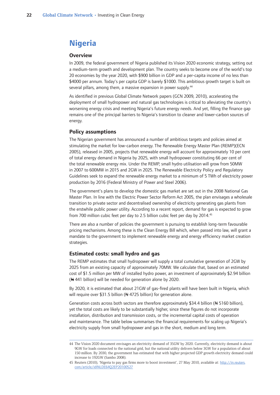## <span id="page-23-0"></span>**Nigeria**

#### **Overview**

In 2009, the federal government of Nigeria published its Vision 2020 economic strategy, setting out a medium-term growth and development plan. The country seeks to become one of the world's top 20 economies by the year 2020, with \$900 billion in GDP and a per-capita income of no less than \$4000 per annum. Today's per capita GDP is barely \$1000. This ambitious growth target is built on several pillars, among them, a massive expansion in power supply.<sup>44</sup>

As identified in previous Global Climate Network papers (GCN 2009, 2010), accelerating the deployment of small hydropower and natural gas technologies is critical to alleviating the country's worsening energy crisis and meeting Nigeria's future energy needs. And yet, filling the finance gap remains one of the principal barriers to Nigeria's transition to cleaner and lower-carbon sources of energy.

#### **Policy assumptions**

The Nigerian government has announced a number of ambitious targets and policies aimed at stimulating the market for low-carbon energy. The Renewable Energy Master Plan (REMP)(ECN 2005), released in 2005, projects that renewable energy will account for approximately 10 per cent of total energy demand in Nigeria by 2025, with small hydropower constituting 66 per cent of the total renewable energy mix. Under the REMP, small hydro utilisation will grow from 50MW in 2007 to 600MW in 2015 and 2GW in 2025. The Renewable Electricity Policy and Regulatory Guidelines seek to expand the renewable energy market to a minimum of 5 TWh of electricity power production by 2016 (Federal Ministry of Power and Steel 2006).

The government's plans to develop the domestic gas market are set out in the 2008 National Gas Master Plan. In line with the Electric Power Sector Reform Act 2005, the plan envisages a wholesale transition to private sector and decentralised ownership of electricity generating gas plants from the erstwhile public power utility. According to a recent report, demand for gas is expected to grow from 700 million cubic feet per day to 2.5 billion cubic feet per day by 2014.45

There are also a number of policies the government is pursuing to establish long-term favourable pricing mechanisms. Among these is the Clean Energy Bill which, when passed into law, will grant a mandate to the government to implement renewable energy and energy efficiency market creation strategies.

#### **Estimated costs: small hydro and gas**

The REMP estimates that small hydropower will supply a total cumulative generation of 2GW by 2025 from an existing capacity of approximately 70MW. We calculate that, based on an estimated cost of \$1.5 million per MW of installed hydro power, an investment of approximately \$2.94 billion  $($  441 billion) will be needed for generation alone by 2020.

By 2020, it is estimated that about 21GW of gas-fired plants will have been built in Nigeria, which will require over \$31.5 billion ( $\leftrightarrow$  4725 billion) for generation alone.

Generation costs across both sectors are therefore approximately \$34.4 billion ( $\leftrightarrow$  5160 billion), yet the total costs are likely to be substantially higher, since these figures do not incorporate installation, distribution and transmission costs, or the incremental capital costs of operation and maintenance. The table below summarises the financial requirements for scaling up Nigeria's electricity supply from small hydropower and gas in the short, medium and long term.

<sup>44</sup> The Vision 2020 document envisages an electricity demand of 35GW by 2020. Currently, electricity demand is about 9GW for loads connected to the national grid, but the national utility delivers below 3GW for a population of about 150 million. By 2030, the government has estimated that with higher projected GDP growth electricity demand could increase to 192GW (Sambo 2008).

<sup>45</sup> Reuters (2010), 'Nigeria to pay gas firms more to boost investment', 27 May 2010, available at: http://in.reuters. com/article/idINLDE64Q2EP20100527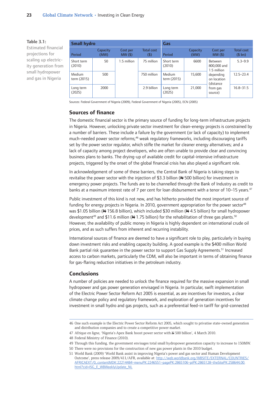#### <span id="page-24-0"></span>**Table 3.1:**

Estimated financial projections for scaling up electricity generation from small hydropower and gas in Nigeria

| <b>Small hydro</b>    |                  |                       | Gas                         |                       |                  |                                                              |                             |
|-----------------------|------------------|-----------------------|-----------------------------|-----------------------|------------------|--------------------------------------------------------------|-----------------------------|
| <b>Period</b>         | Capacity<br>(MW) | Cost per<br>$MW($ \$) | <b>Total cost</b><br>$($ \$ | <b>Period</b>         | Capacity<br>(MW) | Cost per<br>$MW($ \$)                                        | <b>Total cost</b><br>(\$bn) |
| Short term<br>(2010)  | 50               | 1.5 million           | 75 million                  | Short term<br>(2010)  | 6600             | Between<br>800,000 and<br>1.5 million                        | $5.3 - 9.9$                 |
| Medium<br>term (2015) | 500              |                       | 750 million                 | Medium<br>term (2015) | 15,600           | depending<br>on location<br>(distance<br>from gas<br>source) | $12.5 - 23.4$               |
| Long term<br>(2025)   | 2000             |                       | 2.9 billion                 | Long term<br>(2025)   | 21,000           |                                                              | $16.8 - 31.5$               |

Sources: Federal Government of Nigeria (2009), Federal Government of Nigeria (2005), ECN (2005)

#### **Sources of finance**

The domestic financial sector is the primary source of funding for long-term infrastructure projects in Nigeria. However, unlocking private sector investment for clean-energy projects is constrained by a number of barriers. These include a failure by the government (or lack of capacity) to implement much-needed power sector reforms;<sup>46</sup> weak regulatory frameworks, including discouraging tariffs set by the power sector regulator, which stifle the market for cleaner energy alternatives; and a lack of capacity among project developers, who are often unable to provide clear and convincing business plans to banks. The drying-up of available credit for capital-intensive infrastructure projects, triggered by the onset of the global financial crisis has also played a significant role.

In acknowledgement of some of these barriers, the Central Bank of Nigeria is taking steps to revitalise the power sector with the injection of \$3.3 billion ( $\leftrightarrow$  500 billion) for investment in emergency power projects. The funds are to be channelled through the Bank of Industry as credit to banks at a maximum interest rate of 7 per cent for loan disbursement with a tenor of 10-15 years.<sup>47</sup>

Public investment of this kind is not new, and has hitherto provided the most important source of funding for energy projects in Nigeria. In 2010, government appropriation for the power sector<sup>48</sup> was \$1.05 billion (N 156.8 billion), which included \$30 million (N 4.5 billion) for small hydropower development<sup>49</sup> and \$11.6 million ( $\leftrightarrow$  1.75 billion) for the rehabilitation of three gas plants.<sup>50</sup> However, the availability of public money in Nigeria is highly dependent on international crude oil prices, and as such suffers from inherent and recurring instability.

International sources of finance are deemed to have a significant role to play, particularly in buying down investment risks and enabling capacity building. A good example is the \$400 million World Bank partial risk guarantee in the power sector to support Gas Supply Agreements.51 Increased access to carbon markets, particularly the CDM, will also be important in terms of obtaining finance for gas-flaring reduction initiatives in the petroleum industry.

#### **Conclusions**

A number of policies are needed to unlock the finance required for the massive expansion in small hydropower and gas power generation envisaged in Nigeria. In particular, swift implementation of the Electric Power Sector Reform Act 2005 is essential, as are incentives for investors, a clear climate change policy and regulatory framework, and exploration of generation incentives for investment in small hydro and gas projects, such as a preferential feed-in tariff for grid-connected

<sup>46</sup> One such example is the Electric Power Sector Reform Act 2005, which sought to privatise state-owned generation and distribution companies and to create a competitive power market.

<sup>47</sup> Afrique en ligne, 'Nigeria's Apex Bank boost power sector with N 500 billion', 4 March 2010.

<sup>48</sup> Federal Ministry of Finance (2010).

<sup>49</sup> Through this funding, the government envisages total small hydropower generation capacity to increase to 150MW.

<sup>50</sup> There were no provisions for the construction of new gas power plants in the 2010 budget.

<sup>51</sup> World Bank (2009) 'World Bank assist in improving Nigeria's power and gas sector and Human Development Outcome', press release 2009/411/AFR, available at: http://web.worldbank.org/WBSITE/EXTERNAL/COUNTRIES/ AFRICAEXT/0,,contentMDK:22214484~menuPK:2246551~pagePK:2865106~piPK:2865128~theSitePK:258644,00. html?cid=ISG\_E\_WBWeeklyUpdate\_NL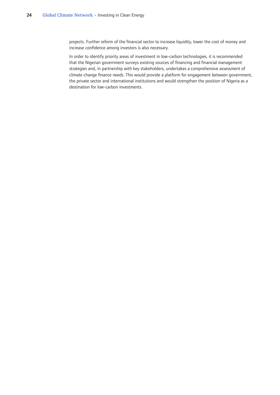projects. Further reform of the financial sector to increase liquidity, lower the cost of money and increase confidence among investors is also necessary.

In order to identify priority areas of investment in low-carbon technologies, it is recommended that the Nigerian government surveys existing sources of financing and financial management strategies and, in partnership with key stakeholders, undertakes a comprehensive assessment of climate change finance needs. This would provide a platform for engagement between government, the private sector and international institutions and would strengthen the position of Nigeria as a destination for low-carbon investments.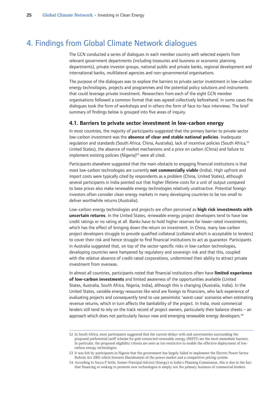## <span id="page-26-0"></span>4. Findings from Global Climate Network dialogues

The GCN conducted a series of dialogues in each member country with selected experts from relevant government departments (including treasuries and business or economic planning departments), private investor groups, national public and private banks, regional development and international banks, multilateral agencies and non-governmental organisations.

The purpose of the dialogues was to explore the barriers to private sector investment in low-carbon energy technologies, projects and programmes and the potential policy solutions and instruments that could leverage private investment. Researchers from each of the eight GCN member organisations followed a common format that was agreed collectively beforehand. In some cases the dialogues took the form of workshops and in others the form of face-to-face interviews. The brief summary of findings below is grouped into five areas of inquiry.

#### **4.1. Barriers to private sector investment in low-carbon energy**

In most countries, the majority of participants suggested that the primary barrier to private sector low-carbon investment was the **absence of clear and stable national policies**. Inadequate regulation and standards (South Africa, China, Australia), lack of incentive policies (South Africa, 52 United States), the absence of market mechanisms and a price on carbon (China) and failure to implement existing policies (Nigeria)<sup>53</sup> were all cited.

Participants elsewhere suggested that the main obstacle to engaging financial institutions is that most low-carbon technologies are currently **not commercially viable** (India). High upfront and import costs were typically cited by respondents as a problem (China, United States), although several participants in India pointed out that higher lifetime costs for a unit of output compared to base prices also make renewable energy technologies relatively unattractive. Potential foreign investors often consider clean energy markets in many developing countries to be too small to deliver worthwhile returns (Australia).

Low-carbon energy technologies and projects are often perceived as **high risk investments with uncertain returns**. In the United States, renewable energy project developers tend to have low credit ratings or no rating at all. Banks have to hold higher reserves for lower-rated investments, which has the effect of bringing down the return on investment. In China, many low-carbon project developers struggle to provide qualified collateral (collateral which is acceptable to lenders) to cover their risk and hence struggle to find financial institutions to act as guarantor. Participants in Australia suggested that, on top of the sector-specific risks in low-carbon technologies, developing countries were hampered by regulatory and sovereign risk and that this, coupled with the relative absence of credit-rated corporations, undermined their ability to attract private investment from overseas.

In almost all countries, participants noted that financial institutions often have **limited experience of low-carbon investments** and limited awareness of the opportunities available (United States, Australia, South Africa, Nigeria, India), although this is changing (Australia, India). In the United States, variable energy resources like wind are foreign to financiers, who lack experience of evaluating projects and consequently tend to use pessimistic 'worst-case' scenarios when estimating revenue returns, which in turn affects the bankability of the project. In India, most commercial lenders still tend to rely on the track record of project owners, particularly their balance sheets – an approach which does not particularly favour new and emerging renewable energy developers.<sup>54</sup>

<sup>52</sup> In South Africa, most participants suggested that the current delays with and uncertainties surrounding the proposed preferential tariff scheme for grid-connected renewable energy (REFIT) are the most immediate barriers. In particular, the proposed eligibility criteria are seen as too restrictive to enable the effective deployment of lowcarbon energy technologies.

<sup>53</sup> It was felt by participants in Nigeria that the government has largely failed to implement the Electric Power Sector Reform Act 2005 which foresees liberalisation of the power market and a competitive pricing system.

<sup>54</sup> According to Surya P Sethi, former Principal Advisor (Energy) to India's Planning Commission, this is due to the fact that financing or seeking to promote new technologies is simply not the primary business of commercial lenders.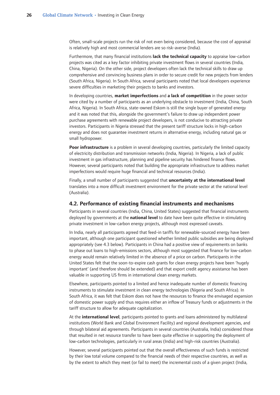<span id="page-27-0"></span>Often, small-scale projects run the risk of not even being considered, because the cost of appraisal is relatively high and most commercial lenders are so risk-averse (India).

Furthermore, that many financial institutions **lack the technical capacity** to appraise low-carbon projects was cited as a key factor inhibiting private investment flows in several countries (India, China, Nigeria). On the other side, project developers often lack the technical skills to draw up comprehensive and convincing business plans in order to secure credit for new projects from lenders (South Africa, Nigeria). In South Africa, several participants noted that local developers experience severe difficulties in marketing their projects to banks and investors.

In developing countries, **market imperfections** and **a lack of competition** in the power sector were cited by a number of participants as an underlying obstacle to investment (India, China, South Africa, Nigeria). In South Africa, state-owned Eskom is still the single buyer of generated energy and it was noted that this, alongside the government's failure to draw up independent power purchase agreements with renewable project developers, is not conducive to attracting private investors. Participants in Nigeria stressed that the present tariff structure locks in high-carbon energy and does not guarantee investment returns in alternative energy, including natural gas or small hydropower.

**Poor infrastructure** is a problem in several developing countries, particularly the limited capacity of electricity distribution and transmission networks (India, Nigeria). In Nigeria, a lack of public investment in gas infrastructure, planning and pipeline security has hindered finance flows. However, several participants noted that building the appropriate infrastructure to address market imperfections would require huge financial and technical resources (India).

Finally, a small number of participants suggested that **uncertainty at the international level** translates into a more difficult investment environment for the private sector at the national level (Australia).

#### **4.2. Performance of existing financial instruments and mechanisms**

Participants in several countries (India, China, United States) suggested that financial instruments deployed by governments at the **national level** to date have been quite effective in stimulating private investment in low-carbon energy projects, although most expressed caveats.

In India, nearly all participants agreed that feed-in tariffs for renewable-sourced energy have been important, although one participant questioned whether limited public subsidies are being deployed appropriately (see 4.3 below). Participants in China had a positive view of requirements on banks to phase out loans to high-emissions sectors, although most suggested that finance for low-carbon energy would remain relatively limited in the absence of a price on carbon. Participants in the United States felt that the soon-to-expire cash grants for clean energy projects have been 'hugely important' (and therefore should be extended) and that export credit agency assistance has been valuable in supporting US firms in international clean energy markets.

Elsewhere, participants pointed to a limited and hence inadequate number of domestic financing instruments to stimulate investment in clean energy technologies (Nigeria and South Africa). In South Africa, it was felt that Eskom does not have the resources to finance the envisaged expansion of domestic power supply and thus requires either an inflow of Treasury funds or adjustments in the tariff structure to allow for adequate capitalization.

At the **international level**, participants pointed to grants and loans administered by multilateral institutions (World Bank and Global Environment Facility) and regional development agencies, and through bilateral aid agreements. Participants in several countries (Australia, India) considered those that resulted in net resource transfer to have been quite effective in supporting the deployment of low-carbon technologies, particularly in rural areas (India) and high-risk countries (Australia).

However, several participants pointed out that the overall effectiveness of such funds is restricted by their low total volume compared to the financial needs of their respective countries, as well as by the extent to which they meet (or fail to meet) the incremental costs of a given project (India,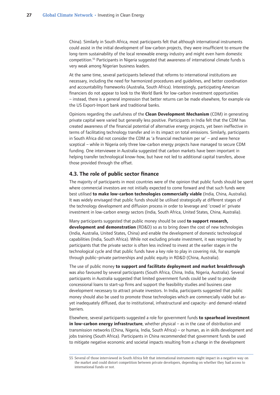<span id="page-28-0"></span>China). Similarly in South Africa, most participants felt that although international instruments could assist in the initial development of low-carbon projects, they were insufficient to ensure the long-term sustainability of the local renewable energy industry and might even harm domestic competition.55 Participants in Nigeria suggested that awareness of international climate funds is very weak among Nigerian business leaders.

At the same time, several participants believed that reforms to international institutions are necessary, including the need for harmonized procedures and guidelines, and better coordination and accountability frameworks (Australia, South Africa). Interestingly, participating American financiers do not appear to look to the World Bank for low-carbon investment opportunities – instead, there is a general impression that better returns can be made elsewhere, for example via the US Export-Import bank and traditional banks.

Opinions regarding the usefulness of the **Clean Development Mechanism** (CDM) in generating private capital were varied but generally less positive. Participants in India felt that the CDM has created awareness of the financial potential of alternative energy projects, yet been ineffective in terms of facilitating technology transfer and in its impact on total emissions. Similarly, participants in South Africa did not consider the CDM as 'a financial mechanism per se' – and were hence sceptical – while in Nigeria only three low-carbon energy projects have managed to secure CDM funding. One interviewee in Australia suggested that carbon markets have been important in helping transfer technological know-how, but have not led to additional capital transfers, above those provided through the offset.

### **4.3. The role of public sector finance**

The majority of participants in most countries were of the opinion that public funds should be spent where commercial investors are not initially expected to come forward and that such funds were best utilised **to make low-carbon technologies commercially viable** (India, China, Australia). It was widely envisaged that public funds should be utilised strategically at different stages of the technology development and diffusion process in order to leverage and 'crowd in' private investment in low-carbon energy sectors (India, South Africa, United States, China, Australia).

Many participants suggested that public money should be used **to support research, development and demonstration** (RD&D) so as to bring down the cost of new technologies (India, Australia, United States, China) and enable the development of domestic technological capabilities (India, South Africa). While not excluding private investment, it was recognised by participants that the private sector is often less inclined to invest at the earlier stages in the technological cycle and that public funds have a key role to play in covering risk, for example through public–private partnerships and public equity in RD&D (China, Australia).

The use of public money **to support and facilitate deployment and market breakthrough** was also favoured by several participants (South Africa, China, India, Nigeria, Australia). Several participants in Australia suggested that limited government funds could be used to provide concessional loans to start-up firms and support the feasibility studies and business case development necessary to attract private investors. In India, participants suggested that public money should also be used to promote those technologies which are commercially viable but asyet inadequately diffused, due to institutional, infrastructural and capacity- and demand-related barriers.

Elsewhere, several participants suggested a role for government funds **to spearhead investment in low-carbon energy infrastructure**, whether physical – as in the case of distribution and transmission networks (China, Nigeria, India, South Africa) – or human, as in skills development and jobs training (South Africa). Participants in China recommended that government funds be used to mitigate negative economic and societal impacts resulting from a change in the development

<sup>55</sup> Several of those interviewed in South Africa felt that international instruments might impact in a negative way on the market and could distort competition between private developers, depending on whether they had access to international funds or not.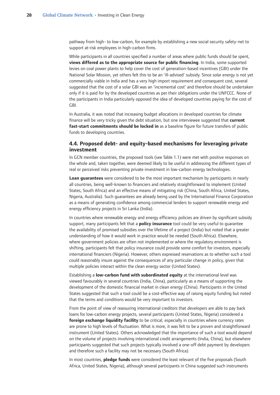<span id="page-29-0"></span>pathway from high- to low-carbon, for example by establishing a new social security safety-net to support at-risk employees in high-carbon firms.

While participants in all countries specified a number of areas where public funds should be spent, **views differed as to the appropriate source for public financing**. In India, some supported levies on coal power plants to help cover the cost of generation-based incentives (GBI) under the National Solar Mission, yet others felt this to be an 'ill-advised' subsidy. Since solar energy is not yet commercially viable in India and has a very high import requirement and consequent cost, several suggested that the cost of a solar GBI was an 'incremental cost' and therefore should be undertaken only if it is paid for by the developed countries as per their obligations under the UNFCCC. None of the participants in India particularly opposed the idea of developed countries paying for the cost of GBI.

In Australia, it was noted that increasing budget allocations in developed countries for climate finance will be very tricky given the debt situation, but one interviewee suggested that **current fast-start commitments should be locked in** as a baseline figure for future transfers of public funds to developing countries.

### **4.4. Proposed debt- and equity-based mechanisms for leveraging private investment**

In GCN member countries, the proposed tools (see Table 1.1) were met with positive responses on the whole and, taken together, were deemed likely to be useful in addressing the different types of real or perceived risks preventing private investment in low-carbon energy technologies.

**Loan guarantees** were considered to be the most important mechanism by participants in nearly all countries, being well-known to financiers and relatively straightforward to implement (United States, South Africa) and an effective means of mitigating risk (China, South Africa, United States, Nigeria, Australia). Such guarantees are already being used by the International Finance Corporation as a means of generating confidence among commercial lenders to support renewable energy and energy efficiency projects in Sri Lanka (India).

In countries where renewable energy and energy efficiency policies are driven by significant subsidy support, many participants felt that a **policy insurance** tool could be very useful to guarantee the availability of promised subsidies over the lifetime of a project (India) but noted that a greater understanding of how it would work in practice would be needed (South Africa). Elsewhere, where government policies are often not implemented or where the regulatory environment is shifting, participants felt that policy insurance could provide some comfort for investors, especially international financiers (Nigeria). However, others expressed reservations as to whether such a tool could reasonably insure against the consequences of any particular change in policy, given that multiple policies interact within the clean energy sector (United States).

Establishing a **low-carbon fund with subordinated equity** at the international level was viewed favourably in several countries (India, China), particularly as a means of supporting the development of the domestic financial market in clean energy (China). Participants in the United States suggested that such a tool could be a cost-effective way of raising equity funding but noted that the terms and conditions would be very important to investors.

From the point of view of reassuring international creditors that developers are able to pay back loans for low-carbon energy projects, several participants (United States, Nigeria) considered a **foreign exchange liquidity facility** to be critical, especially in countries where currency rates are prone to high levels of fluctuation. What is more, it was felt to be a proven and straightforward instrument (United States). Others acknowledged that the importance of such a tool would depend on the volume of projects involving international credit arrangements (India, China), but elsewhere participants suggested that such projects typically involved a one-off debt payment by developers and therefore such a facility may not be necessary (South Africa).

In most countries, **pledge funds** were considered the least relevant of the five proposals (South Africa, United States, Nigeria), although several participants in China suggested such instruments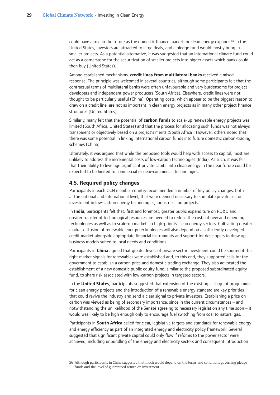<span id="page-30-0"></span>could have a role in the future as the domestic finance market for clean energy expands.<sup>56</sup> In the United States, investors are attracted to large deals, and a pledge fund would mostly bring in smaller projects. As a potential alternative, it was suggested that an international climate fund could act as a cornerstone for the securitization of smaller projects into bigger assets which banks could then buy (United States).

Among established mechanisms, **credit lines from multilateral banks** received a mixed response. The principle was welcomed in several countries, although some participants felt that the contractual terms of multilateral banks were often unfavourable and very burdensome for project developers and independent power producers (South Africa). Elsewhere, credit lines were not thought to be particularly useful (China). Operating costs, which appear to be the biggest reason to draw on a credit line, are not as important in clean energy projects as in many other project finance structures (United States).

Similarly, many felt that the potential of **carbon funds** to scale-up renewable energy projects was limited (South Africa, United States) and that the process for allocating such funds was not always transparent or objectively based on a project's merits (South Africa). However, others noted that there was some potential in linking international carbon funds into future domestic carbon-trading schemes (China).

Ultimately, it was argued that while the proposed tools would help with access to capital, most are unlikely to address the incremental costs of low-carbon technologies (India). As such, it was felt that their ability to leverage significant private capital into clean energy in the near future could be expected to be limited to commercial or near-commercial technologies.

#### **4.5. Required policy changes**

Participants in each GCN member country recommended a number of key policy changes, both at the national and international level, that were deemed necessary to stimulate private sector investment in low-carbon energy technologies, industries and projects.

In **India**, participants felt that, first and foremost, greater public expenditure on RD&D and greater transfer of technological resources are needed to reduce the costs of new and emerging technologies as well as to scale-up markets in high-priority clean energy sectors. Cultivating greater market diffusion of renewable energy technologies will also depend on a sufficiently developed credit market alongside appropriate financial instruments and support for developers to draw up business models suited to local needs and conditions.

Participants in **China** agreed that greater levels of private sector investment could be spurred if the right market signals for renewables were established and, to this end, they supported calls for the government to establish a carbon price and domestic trading exchange. They also advocated the establishment of a new domestic public equity fund, similar to the proposed subordinated equity fund, to share risk associated with low-carbon projects in targeted sectors.

In the **United States**, participants suggested that extension of the existing cash grant programme for clean energy projects and the introduction of a renewable energy standard are key priorities that could revive the industry and send a clear signal to private investors. Establishing a price on carbon was viewed as being of secondary importance, since in the current circumstances – and notwithstanding the unlikelihood of the Senate agreeing to necessary legislation any time soon – it would was likely to be high enough only to encourage fuel switching from coal to natural gas.

Participants in **South Africa** called for clear, legislative targets and standards for renewable energy and energy efficiency as part of an integrated energy and electricity policy framework. Several suggested that significant private capital could only flow if reforms to the power sector were achieved, including unbundling of the energy and electricity sectors and consequent introduction

<sup>56</sup> Although participants in China suggested that much would depend on the terms and conditions governing pledge funds and the level of guaranteed return on investment.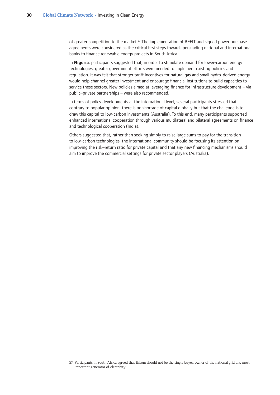of greater competition to the market.<sup>57</sup> The implementation of REFIT and signed power purchase agreements were considered as the critical first steps towards persuading national and international banks to finance renewable energy projects in South Africa.

In **Nigeria**, participants suggested that, in order to stimulate demand for lower-carbon energy technologies, greater government efforts were needed to implement existing policies and regulation. It was felt that stronger tariff incentives for natural gas and small hydro-derived energy would help channel greater investment and encourage financial institutions to build capacities to service these sectors. New policies aimed at leveraging finance for infrastructure development – via public–private partnerships – were also recommended.

In terms of policy developments at the international level, several participants stressed that, contrary to popular opinion, there is no shortage of capital globally but that the challenge is to draw this capital to low-carbon investments (Australia). To this end, many participants supported enhanced international cooperation through various multilateral and bilateral agreements on finance and technological cooperation (India).

Others suggested that, rather than seeking simply to raise large sums to pay for the transition to low-carbon technologies, the international community should be focusing its attention on improving the risk–return ratio for private capital and that any new financing mechanisms should aim to improve the commercial settings for private sector players (Australia).

<sup>57</sup> Participants in South Africa agreed that Eskom should not be the single buyer, owner of the national grid and most important generator of electricity.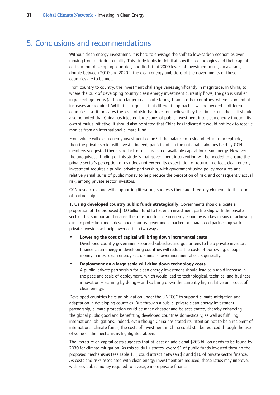## <span id="page-32-0"></span>5. Conclusions and recommendations

Without clean energy investment, it is hard to envisage the shift to low-carbon economies ever moving from rhetoric to reality. This study looks in detail at specific technologies and their capital costs in four developing countries, and finds that 2009 levels of investment must, on average, double between 2010 and 2020 if the clean energy ambitions of the governments of those countries are to be met.

From country to country, the investment challenge varies significantly in magnitude. In China, to where the bulk of developing country clean energy investment currently flows, the gap is smaller in percentage terms (although larger in absolute terms) than in other countries, where exponential increases are required. While this suggests that different approaches will be needed in different countries – as it indicates the level of risk that investors believe they face in each market – it should also be noted that China has injected large sums of public investment into clean energy through its own stimulus initiative. It should also be stated that China has indicated it would not look to receive monies from an international climate fund.

From where will clean energy investment come? If the balance of risk and return is acceptable, then the private sector will invest – indeed, participants in the national dialogues held by GCN members suggested there is no lack of enthusiasm or available capital for clean energy. However, the unequivocal finding of this study is that government intervention will be needed to ensure the private sector's perception of risk does not exceed its expectation of return. In effect, clean energy investment requires a public–private partnership, with government using policy measures and relatively small sums of public money to help reduce the perception of risk, and consequently actual risk, among private sector investors.

GCN research, along with supporting literature, suggests there are three key elements to this kind of partnership.

**1. Using developed country public funds strategically**: Governments should allocate a proportion of the proposed \$100 billion fund to foster an investment partnership with the private sector. This is important because the transition to a clean energy economy is a key means of achieving climate protection and a developed country government-backed or guaranteed partnership with private investors will help lower costs in two ways.

#### **Lowering the cost of capital will bring down incremental costs •**

Developed country government-sourced subsidies and guarantees to help private investors finance clean energy in developing countries will reduce the costs of borrowing: cheaper money in most clean energy sectors means lower incremental costs generally.

#### **Deployment on a large scale will drive down technology costs •**

A public–private partnership for clean energy investment should lead to a rapid increase in the pace and scale of deployment, which would lead to technological, technical and business innovation – learning by doing – and so bring down the currently high relative unit costs of clean energy.

Developed countries have an obligation under the UNFCCC to support climate mitigation and adaptation in developing countries. But through a public–private clean energy investment partnership, climate protection could be made cheaper and be accelerated, thereby enhancing the global public good and benefitting developed countries domestically, as well as fulfilling international obligations. Indeed, even though China has stated its intention not to be a recipient of international climate funds, the costs of investment in China could still be reduced through the use of some of the mechanisms highlighted above.

The literature on capital costs suggests that at least an additional \$265 billion needs to be found by 2030 for climate mitigation. As this study illustrates, every \$1 of public funds invested through the proposed mechanisms (see Table 1.1) could attract between \$2 and \$10 of private sector finance. As costs and risks associated with clean energy investment are reduced, these ratios may improve, with less public money required to leverage more private finance.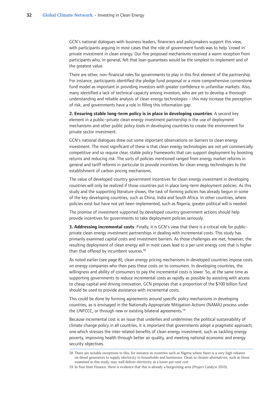GCN's national dialogues with business leaders, financiers and policymakers support this view, with participants arguing in most cases that the role of government funds was to help 'crowd in' private investment in clean energy. Our five proposed mechanisms received a warm reception from participants who, in general, felt that loan guarantees would be the simplest to implement and of the greatest value.

There are other, non-financial roles for governments to play in this first element of the partnership. For instance, participants identified the pledge fund proposal or a more comprehensive cornerstone fund model as important in providing investors with greater confidence in unfamiliar markets. Also, many identified a lack of technical capacity among investors, who are yet to develop a thorough understanding and reliable analysis of clean energy technologies – this may increase the perception of risk, and governments have a role in filling this information gap.

**2. Ensuring stable long-term policy is in place in developing countries**: A second key element in a public–private clean energy investment partnership is the use of deployment mechanisms and other public policy tools in developing countries to create the environment for private sector investment.

GCN's national dialogues drew out some important observations on barriers to clean energy investment. The most significant of these is that clean energy technologies are not yet commercially competitive and so require clear, stable policy frameworks that can support deployment by boosting returns and reducing risk. The sorts of policies mentioned ranged from energy market reforms in general and tariff reforms in particular to provide incentives for clean energy technologies to the establishment of carbon pricing mechanisms.

The value of developed country government incentives for clean energy investment in developing countries will only be realized if those countries put in place long-term deployment policies. As this study and the supporting literature shows, the task of forming policies has already begun in some of the key developing countries, such as China, India and South Africa. In other countries, where policies exist but have not yet been implemented, such as Nigeria, greater political will is needed.

The promise of investment supported by developed country government actions should help provide incentives for governments to take deployment policies seriously.

**3. Addressing incremental costs**: Finally, it is GCN's view that there is a critical role for public– private clean energy investment partnerships in dealing with incremental costs. This study has primarily examined capital costs and investment barriers. As those challenges are met, however, the resulting deployment of clean energy will in most cases lead to a per-unit energy cost that is higher than that offered by incumbent sources.<sup>58</sup>

As noted earlier (see page 8), clean energy pricing mechanisms in developed countries impose costs on energy companies who then pass these costs on to consumers. In developing countries, the willingness and ability of consumers to pay the incremental costs is lower. So, at the same time as supporting governments to reduce incremental costs as rapidly as possible by assisting with access to cheap capital and driving innovation, GCN proposes that a proportion of the \$100 billion fund should be used to provide assistance with incremental costs.

This could be done by forming agreements around specific policy mechanisms in developing countries, as is envisaged in the Nationally Appropriate Mitigation Actions (NAMA) process under the UNFCCC, or through new or existing bilateral agreements.<sup>59</sup>

Because incremental cost is an issue that underlies and undermines the political sustainability of climate change policy in all countries, it is important that governments adopt a pragmatic approach; one which stresses the inter-related benefits of clean energy investment, such as tackling energy poverty, improving health through better air quality, and meeting national economic and energy security objectives.

<sup>58</sup> There are notable exceptions to this, for instance in countries such as Nigeria where there is a very high reliance on diesel generators to supply electricity to households and businesses. Clean or cleaner alternatives, such as those examined in this study, may well deliver electricity at a lower per-unit cost.

<sup>59</sup> In Fast Start Finance, there is evidence that this is already a burgeoning area (Project Catalyst 2010).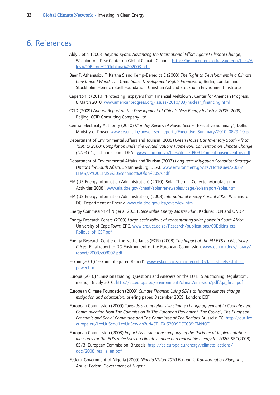## <span id="page-34-0"></span>6. References

- Aldy J et al (2003) *Beyond Kyoto: Advancing the International Effort Against Climate Change*, Washington: Pew Center on Global Climate Change. http://belfercenter.ksg.harvard.edu/files/A ldy%20Baron%20Tubiana%202003.pdf
- Baer P, Athanasiou T, Kartha S and Kemp-Benedict E (2008) *The Right to Development in a Climate Constrained World: The Greenhouse Development Rights Framework*, Berlin, London and Stockholm: Heinrich Boell Foundation, Christian Aid and Stockholm Environment Institute
- Caperton R (2010) 'Protecting Taxpayers from Financial Meltdown', Center for American Progress, 8 March 2010. www.americanprogress.org/issues/2010/03/nuclear\_financing.html
- CCID (2009) *Annual Report on the Development of China's New Energy Industry: 2008–2009*, Beijing: CCID Consulting Company Ltd
- Central Electricity Authority (2010) *Monthly Review of Power Sector* (Executive Summary), Delhi: Ministry of Power. www.cea.nic.in/power\_sec\_reports/Executive\_Summary/2010\_08/9-10.pdf
- Department of Environmental Affairs and Tourism (2009) *Green House Gas Inventory South Africa 1990 to 2000: Compilation under the United Nations Framework Convention on Climate Change (UNFCCC)*, Johannesburg: DEAT. www.pmg.org.za/files/docs/090812greenhouseinventory.pdf
- Department of Environmental Affairs and Tourism (2007) *Long term Mitigation Scenarios: Strategic Options for South Africa*, Johannesburg: DEAT. www.environment.gov.za/HotIssues/2008/ LTMS/A%20LTMS%20Scenarios%20for%20SA.pdf
- EIA (US Energy Information Administration) (2010) 'Solar Thermal Collector Manufacturing Activities 2008'. www.eia.doe.gov/cneaf/solar.renewables/page/solarreport/solar.html
- EIA (US Energy Information Administration) (2008) *International Energy Annual 2006*, Washington DC: Department of Energy. www.eia.doe.gov/iea/overview.html
- Energy Commission of Nigeria (2005) *Renewable Energy Master Plan*, Kaduna: ECN and UNDP
- Energy Research Centre (2009) *Large-scale rollout of concentrating solar power in South Africa*, University of Cape Town: ERC. www.erc.uct.ac.za/Research/publications/09Edkins-etal-Rollout\_of\_CSP.pdf
- Energy Research Centre of the Netherlands (ECN) (2008) *The Impact of the EU ETS on Electricity Prices*, Final report to DG Environment of the European Commission. www.ecn.nl/docs/library/ report/2008/e08007.pdf
- Eskom (2010) 'Eskom Integrated Report'. www.eskom.co.za/annreport10/fact\_sheets/status\_ power.htm
- Europa (2010) 'Emissions trading: Questions and Answers on the EU ETS Auctioning Regulation', memo, 16 July 2010. http://ec.europa.eu/environment/climat/emission/pdf/qa\_final.pdf
- European Climate Foundation (2009) *Climate Finance: Using SDRs to finance climate change mitigation and adaptation*, briefing paper, December 2009, London: ECF
- European Commission (2009) *Towards a comprehensive climate change agreement in Copenhagen: Communication from The Commission To The European Parliament, The Council, The European Economic and Social Committee and The Committee of The Regions* Brussels: EC. http://eur-lex. europa.eu/LexUriServ/LexUriServ.do?uri=CELEX:52009DC0039:EN:NOT
- European Commission (2008) *Impact Assessment accompanying the Package of Implementation measures for the EU's objectives on climate change and renewable energy for 2020*, SEC(2008) 85/3, European Commission: Brussels. http://ec.europa.eu/energy/climate\_actions/ doc/2008\_res\_ia\_en.pdf
- Federal Government of Nigeria (2009) *Nigeria Vision 2020 Economic Transformation Blueprint*, Abuja: Federal Government of Nigeria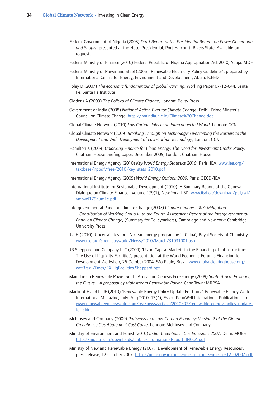- Federal Government of Nigeria (2005) *Draft Report of the Presidential Retreat on Power Generation and Supply*, presented at the Hotel Presidential, Port Harcourt, Rivers State. Available on request.
- Federal Ministry of Finance (2010) Federal Republic of Nigeria Appropriation Act 2010, Abuja: MOF
- Federal Ministry of Power and Steel (2006) 'Renewable Electricity Policy Guidelines', prepared by International Centre for Energy, Environment and Development, Abuja: ICEED
- Foley D (2007) *The economic fundamentals of global warming*, Working Paper 07-12-044, Santa Fe: Santa Fe Institute
- Giddens A (2009) *The Politics of Climate Change*, London: Polity Press
- Government of India (2008) *National Action Plan for Climate Change*, Delhi: Prime Minster's Council on Climate Change. http://pmindia.nic.in/Climate%20Change.doc
- Global Climate Network (2010) *Low Carbon Jobs in an Interconnected World*, London: GCN
- Global Climate Network (2009) *Breaking Through on Technology: Overcoming the Barriers to the Development and Wide Deployment of Low-Carbon Technology*, London: GCN
- Hamilton K (2009) *Unlocking Finance for Clean Energy: The Need for 'Investment Grade' Policy*, Chatham House briefing paper, December 2009, London: Chatham House
- International Energy Agency (2010) *Key World Energy Statistics 2010*, Paris: IEA. www.iea.org/ textbase/nppdf/free/2010/key\_stats\_2010.pdf
- International Energy Agency (2009) *World Energy Outlook 2009*, Paris: OECD/IEA
- International Institute for Sustainable Development (2010) 'A Summary Report of the Geneva Dialogue on Climate Finance', volume 179(1), New York: IISD. www.iisd.ca/download/pdf/sd/ ymbvol179num1e.pdf
- Intergovernmental Panel on Climate Change (2007) *Climate Change 2007: Mitigation – Contribution of Working Group III to the Fourth Assessment Report of the Intergovernmental Panel on Climate Change*, (Summary for Policymakers), Cambridge and New York: Cambridge University Press
- Jia H (2010) 'Uncertainties for UN clean energy programme in China', Royal Society of Chemistry. www.rsc.org/chemistryworld/News/2010/March/31031001.asp
- JR Sheppard and Company LLC (2004) 'Using Capital Markets in the Financing of Infrastructure: The Use of Liquidity Facilities', presentation at the World Economic Forum's Financing for Development Workshop, 26 October 2004, São Paulo, Brazil. www.globalclearinghouse.org/ wefBrazil/Docs/FX LiqFacilities.Sheppard.ppt
- Mainstream Renewable Power South Africa and Genesis Eco-Energy (2009) *South Africa: Powering the Future – A proposal by Mainstream Renewable Power*, Cape Town: MRPSA
- Martinot E and Li JF (2010) 'Renewable Energy Policy Update For China' Renewable Energy World International Magazine, July–Aug 2010, 13(4), Essex: PennWell International Publications Ltd. www.renewableenergyworld.com/rea/news/article/2010/07/renewable-energy-policy-updatefor-china
- McKinsey and Company (2009) *Pathways to a Low-Carbon Economy: Version 2 of the Global Greenhouse Gas Abatement Cost Curve*, London: McKinsey and Company
- Ministry of Environment and Forest (2010) *India: Greenhouse Gas Emissions 2007*, Delhi: MOEF. http://moef.nic.in/downloads/public-information/Report\_INCCA.pdf
- Ministry of New and Renewable Energy (2007) 'Development of Renewable Energy Resources', press release, 12 October 2007. http://mnre.gov.in/press-releases/press-release-12102007.pdf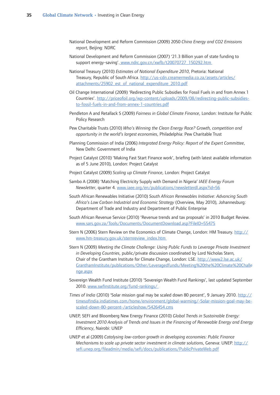- National Development and Reform Commission (2009) 2050 *China Energy and CO2 Emissions report*, Beijing: NDRC
- National Development and Reform Commission (2007) '21.3 Billion yuan of state funding to support energy-saving'. www.ndrc.gov.cn/xwfb/t20070727\_150292.htm
- National Treasury (2010) *Estimates of National Expenditure 2010*, Pretoria: National Treasury, Republic of South Africa. http://us-cdn.creamermedia.co.za/assets/articles/ attachments/25902\_est\_of\_national\_expenditure\_2010.pdf
- Oil Change International (2009) 'Redirecting Public Subsidies for Fossil Fuels in and from Annex 1 Countries'. http://priceofoil.org/wp-content/uploads/2009/08/redirecting-public-subsidiesto-fossil-fuels-in-and-from-annex-1-countries.pdf
- Pendleton A and Retallack S (2009) *Fairness in Global Climate Finance*, London: Institute for Public Policy Research
- Pew Charitable Trusts (2010) *Who's Winning the Clean Energy Race? Growth, competition and opportunity in the world's largest economies*, Philadelphia: Pew Charitable Trust
- Planning Commission of India (2006) *Integrated Energy Policy: Report of the Expert Committee*, New Delhi: Government of India
- Project Catalyst (2010) 'Making Fast Start Finance work', briefing (with latest available information as of 5 June 2010), London: Project Catalyst
- Project Catalyst (2009) *Scaling up Climate Finance*, London: Project Catalyst
- Sambo A (2008) 'Matching Electricity Supply with Demand in Nigeria' *IAEE Energy Forum Newsletter*, quarter 4. www.iaee.org/en/publications/newsletterdl.aspx?id=56
- South African Renewables Initiative (2010) *South African Renewables Initiative: Advancing South Africa's Low Carbon Industrial and Economic Strategy* (Overview, May 2010), Johannesburg: Department of Trade and Industry and Department of Public Enterprise
- South African Revenue Service (2010) 'Revenue trends and tax proposals' in 2010 Budget Review. www.sars.gov.za/Tools/Documents/DocumentDownload.asp?FileID=55475
- Stern N (2006) Stern Review on the Economics of Climate Change, London: HM Treasury. http:// www.hm-treasury.gov.uk/sternreview\_index.htm
- Stern N (2009) *Meeting the Climate Challenge: Using Public Funds to Leverage Private Investment in Developing Countries*, public/private discussion coordinated by Lord Nicholas Stern, Chair of the Grantham Institute for Climate Change, London: LSE. http://www2.lse.ac.uk/ GranthamInstitute/publications/Other/Leveragedfunds/Meeting%20the%20Climate%20Challe nge.aspx
- Sovereign Wealth Fund Institute (2010) 'Sovereign Wealth Fund Rankings', last updated September 2010. www.swfinstitute.org/fund-rankings/
- *Times of India* (2010) 'Solar mission goal may be scaled down 80 percent', 9 January 2010. http:// timesofindia.indiatimes.com/home/environment/global-warming/-Solar-mission-goal-may-bescaled-down-80-percent-/articleshow/5426454.cms
- UNEP, SEFI and Bloomberg New Energy Finance (2010) *Global Trends in Sustainable Energy: Investment 2010 Analysis of Trends and Issues in the Financing of Renewable Energy and Energy Efficiency*, Nairobi: UNEP
- UNEP et al (2009) *Catalysing low-carbon growth in developing economies: Public Finance Mechanisms to scale up private sector investment in climate solutions*, Geneva: UNEP. http:// sefi.unep.org/fileadmin/media/sefi/docs/publications/PublicPrivateWeb.pdf